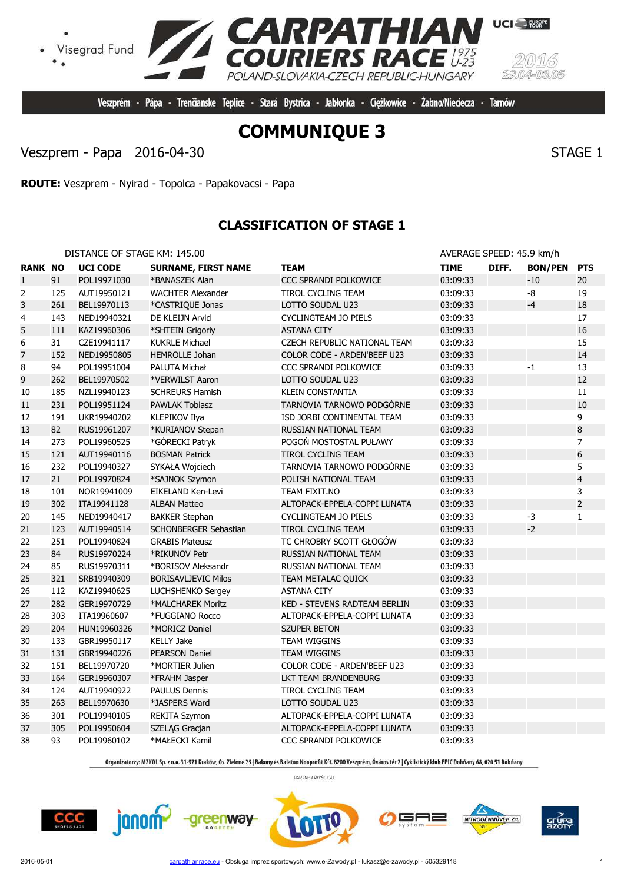

Veszprém - Pápa - Trenčianske Teplice - Stará Bystrica - Jabłonka - Cieżkowice -

**RPATHIAN**<br>JRIERS RACE

POLAND-SLOVAKIA-CZECH REPUBLIC-HUNGARY

Veszprem - Papa 2016-04-30 STAGE 1

**ROUTE:** Veszprem - Nyirad - Topolca - Papakovacsi - Papa

## **CLASSIFICATION OF STAGE 1**

DISTANCE OF STAGE KM: 145.00 **AVERAGE SPEED: 45.9 km/h** 

| <b>RANK NO</b>   |     | <b>UCI CODE</b> | <b>SURNAME, FIRST NAME</b>   | TEAM                                | <b>TIME</b> | DIFF. | <b>BON/PEN</b> | <b>PTS</b>              |
|------------------|-----|-----------------|------------------------------|-------------------------------------|-------------|-------|----------------|-------------------------|
| $\mathbf{1}$     | 91  | POL19971030     | *BANASZEK Alan               | CCC SPRANDI POLKOWICE               | 03:09:33    |       | $-10$          | 20                      |
| 2                | 125 | AUT19950121     | <b>WACHTER Alexander</b>     | TIROL CYCLING TEAM                  | 03:09:33    |       | $-8$           | 19                      |
| 3                | 261 | BEL19970113     | *CASTRIQUE Jonas             | LOTTO SOUDAL U23                    | 03:09:33    |       | $-4$           | 18                      |
| 4                | 143 | NED19940321     | DE KLEIJN Arvid              | CYCLINGTEAM JO PIELS                | 03:09:33    |       |                | 17                      |
| 5                | 111 | KAZ19960306     | *SHTEIN Grigoriy             | <b>ASTANA CITY</b>                  | 03:09:33    |       |                | 16                      |
| $\boldsymbol{6}$ | 31  | CZE19941117     | <b>KUKRLE Michael</b>        | CZECH REPUBLIC NATIONAL TEAM        | 03:09:33    |       |                | 15                      |
| $\overline{7}$   | 152 | NED19950805     | <b>HEMROLLE Johan</b>        | COLOR CODE - ARDEN'BEEF U23         | 03:09:33    |       |                | 14                      |
| 8                | 94  | POL19951004     | PALUTA Michał                | CCC SPRANDI POLKOWICE               | 03:09:33    |       | $-1$           | 13                      |
| 9                | 262 | BEL19970502     | *VERWILST Aaron              | LOTTO SOUDAL U23                    | 03:09:33    |       |                | 12                      |
| 10               | 185 | NZL19940123     | <b>SCHREURS Hamish</b>       | <b>KLEIN CONSTANTIA</b>             | 03:09:33    |       |                | 11                      |
| 11               | 231 | POL19951124     | <b>PAWLAK Tobiasz</b>        | TARNOVIA TARNOWO PODGÓRNE           | 03:09:33    |       |                | 10                      |
| 12               | 191 | UKR19940202     | KLEPIKOV Ilya                | ISD JORBI CONTINENTAL TEAM          | 03:09:33    |       |                | 9                       |
| 13               | 82  | RUS19961207     | *KURIANOV Stepan             | RUSSIAN NATIONAL TEAM               | 03:09:33    |       |                | 8                       |
| 14               | 273 | POL19960525     | *GÓRECKI Patryk              | POGOŃ MOSTOSTAL PUŁAWY              | 03:09:33    |       |                | 7                       |
| 15               | 121 | AUT19940116     | <b>BOSMAN Patrick</b>        | TIROL CYCLING TEAM                  | 03:09:33    |       |                | 6                       |
| 16               | 232 | POL19940327     | SYKAŁA Wojciech              | TARNOVIA TARNOWO PODGÓRNE           | 03:09:33    |       |                | 5                       |
| 17               | 21  | POL19970824     | *SAJNOK Szymon               | POLISH NATIONAL TEAM                | 03:09:33    |       |                | $\overline{\mathbf{4}}$ |
| 18               | 101 | NOR19941009     | <b>EIKELAND Ken-Levi</b>     | TEAM FIXIT.NO                       | 03:09:33    |       |                | 3                       |
| 19               | 302 | ITA19941128     | <b>ALBAN Matteo</b>          | ALTOPACK-EPPELA-COPPI LUNATA        | 03:09:33    |       |                | $\overline{2}$          |
| 20               | 145 | NED19940417     | <b>BAKKER Stephan</b>        | CYCLINGTEAM JO PIELS                | 03:09:33    |       | $-3$           | $\mathbf{1}$            |
| 21               | 123 | AUT19940514     | <b>SCHONBERGER Sebastian</b> | <b>TIROL CYCLING TEAM</b>           | 03:09:33    |       | $-2$           |                         |
| 22               | 251 | POL19940824     | <b>GRABIS Mateusz</b>        | TC CHROBRY SCOTT GŁOGÓW             | 03:09:33    |       |                |                         |
| 23               | 84  | RUS19970224     | *RIKUNOV Petr                | RUSSIAN NATIONAL TEAM               | 03:09:33    |       |                |                         |
| 24               | 85  | RUS19970311     | *BORISOV Aleksandr           | RUSSIAN NATIONAL TEAM               | 03:09:33    |       |                |                         |
| 25               | 321 | SRB19940309     | <b>BORISAVLJEVIC Milos</b>   | TEAM METALAC QUICK                  | 03:09:33    |       |                |                         |
| 26               | 112 | KAZ19940625     | LUCHSHENKO Sergey            | <b>ASTANA CITY</b>                  | 03:09:33    |       |                |                         |
| 27               | 282 | GER19970729     | *MALCHAREK Moritz            | <b>KED - STEVENS RADTEAM BERLIN</b> | 03:09:33    |       |                |                         |
| 28               | 303 | ITA19960607     | *FUGGIANO Rocco              | ALTOPACK-EPPELA-COPPI LUNATA        | 03:09:33    |       |                |                         |
| 29               | 204 | HUN19960326     | *MORICZ Daniel               | <b>SZUPER BETON</b>                 | 03:09:33    |       |                |                         |
| 30               | 133 | GBR19950117     | <b>KELLY Jake</b>            | TEAM WIGGINS                        | 03:09:33    |       |                |                         |
| 31               | 131 | GBR19940226     | <b>PEARSON Daniel</b>        | <b>TEAM WIGGINS</b>                 | 03:09:33    |       |                |                         |
| 32               | 151 | BEL19970720     | *MORTIER Julien              | COLOR CODE - ARDEN'BEEF U23         | 03:09:33    |       |                |                         |
| 33               | 164 | GER19960307     | *FRAHM Jasper                | LKT TEAM BRANDENBURG                | 03:09:33    |       |                |                         |
| 34               | 124 | AUT19940922     | <b>PAULUS Dennis</b>         | TIROL CYCLING TEAM                  | 03:09:33    |       |                |                         |
| 35               | 263 | BEL19970630     | *JASPERS Ward                | LOTTO SOUDAL U23                    | 03:09:33    |       |                |                         |
| 36               | 301 | POL19940105     | <b>REKITA Szymon</b>         | ALTOPACK-EPPELA-COPPI LUNATA        | 03:09:33    |       |                |                         |
| 37               | 305 | POL19950604     | SZELĄG Gracjan               | ALTOPACK-EPPELA-COPPI LUNATA        | 03:09:33    |       |                |                         |
| 38               | 93  | POL19960102     | *MAŁECKI Kamil               | CCC SPRANDI POLKOWICE               | 03:09:33    |       |                |                         |

Organizatorzy: MZKOL Sp. z o.o. 31-971 Kraków, Os. Zielone 25 | Bakony és Balaton Nonprofit Kft. 8200 Veszprém, Óváros tér 2 | Cyklistický klub EPIC Dohňany 68, 020 51 Dohňany

PARTNER WYŚCIGU

greenway

**CCC** 

janom-









Visegrad Fund



Żabno/Nieciecza - Tarnów

**UCI** FURGPE

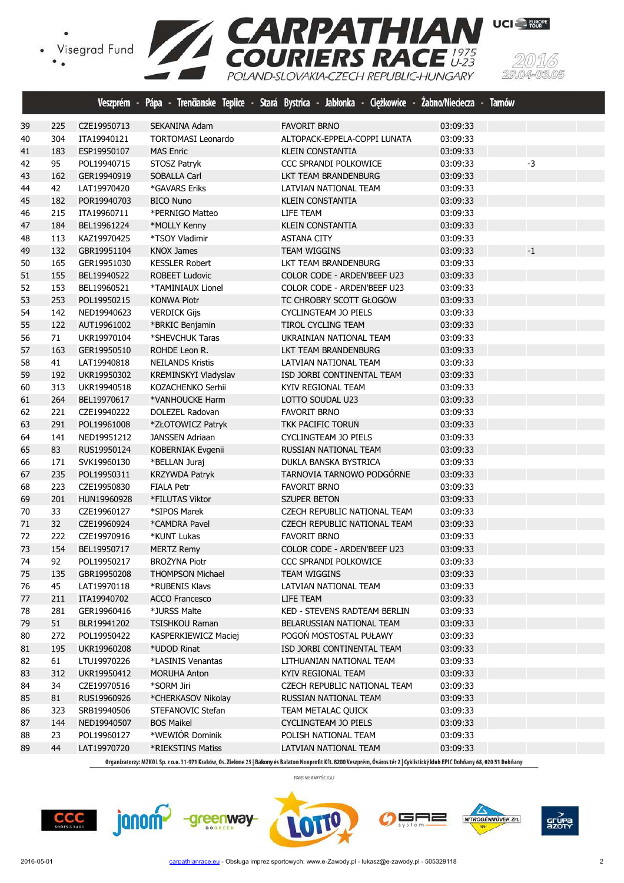Visegrad Fund





Organizatorzy: MZKOL Sp. z o.o. 31-971 Kraków, Os. Zielone 25 | Bakony és Balaton Nonprofit Kft. 8200 Veszprém, Óváros tér 2 | Cyklistický klub EPIC Dohňany 68, 020 51 Dohňany

PARTNER WYŚCIGU

![](_page_1_Picture_6.jpeg)

 144 NED19940507 BOS Maikel CYCLINGTEAM JO PIELS 03:09:33 23 POL19960127 \*WEWIÓR Dominik POLISH NATIONAL TEAM 03:09:33 44 LAT19970720 \*RIEKSTINS Matiss LATVIAN NATIONAL TEAM 03:09:33

![](_page_1_Picture_7.jpeg)

![](_page_1_Picture_8.jpeg)

![](_page_1_Picture_9.jpeg)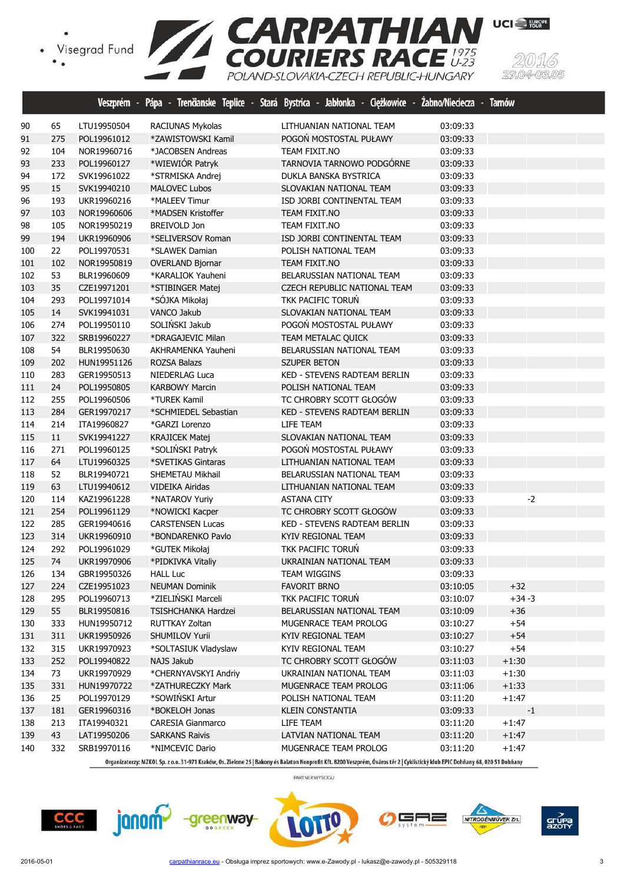![](_page_2_Picture_1.jpeg)

|     |     |             | Veszprém - Pápa - Trenčianske Teplice - | Stará Bystrica - Jabłonka - Ciężkowice - Żabno/Nieciecza - |          | <b>Tarnów</b> |
|-----|-----|-------------|-----------------------------------------|------------------------------------------------------------|----------|---------------|
| 90  | 65  | LTU19950504 | RACIUNAS Mykolas                        | LITHUANIAN NATIONAL TEAM                                   | 03:09:33 |               |
| 91  | 275 | POL19961012 | *ZAWISTOWSKI Kamil                      | POGOŃ MOSTOSTAL PUŁAWY                                     | 03:09:33 |               |
| 92  | 104 | NOR19960716 | *JACOBSEN Andreas                       | TEAM FIXIT.NO                                              | 03:09:33 |               |
| 93  | 233 | POL19960127 | *WIEWIÓR Patryk                         | TARNOVIA TARNOWO PODGÓRNE                                  | 03:09:33 |               |
| 94  | 172 | SVK19961022 | *STRMISKA Andrej                        | DUKLA BANSKA BYSTRICA                                      | 03:09:33 |               |
| 95  | 15  | SVK19940210 | <b>MALOVEC Lubos</b>                    | SLOVAKIAN NATIONAL TEAM                                    | 03:09:33 |               |
| 96  | 193 | UKR19960216 | *MALEEV Timur                           | ISD JORBI CONTINENTAL TEAM                                 | 03:09:33 |               |
| 97  | 103 | NOR19960606 | *MADSEN Kristoffer                      | TEAM FIXIT.NO                                              | 03:09:33 |               |
| 98  | 105 | NOR19950219 | <b>BREIVOLD Jon</b>                     | TEAM FIXIT.NO                                              | 03:09:33 |               |
| 99  | 194 | UKR19960906 | *SELIVERSOV Roman                       | ISD JORBI CONTINENTAL TEAM                                 | 03:09:33 |               |
| 100 | 22  | POL19970531 | *SLAWEK Damian                          | POLISH NATIONAL TEAM                                       | 03:09:33 |               |
| 101 | 102 | NOR19950819 | <b>OVERLAND Bjornar</b>                 | TEAM FIXIT.NO                                              | 03:09:33 |               |
| 102 | 53  | BLR19960609 | *KARALIOK Yauheni                       | BELARUSSIAN NATIONAL TEAM                                  | 03:09:33 |               |
| 103 | 35  | CZE19971201 | *STIBINGER Matej                        | CZECH REPUBLIC NATIONAL TEAM                               | 03:09:33 |               |
| 104 | 293 | POL19971014 | *SÓJKA Mikołaj                          | TKK PACIFIC TORUŃ                                          | 03:09:33 |               |
| 105 | 14  | SVK19941031 | VANCO Jakub                             | SLOVAKIAN NATIONAL TEAM                                    | 03:09:33 |               |
| 106 | 274 | POL19950110 | SOLIŃSKI Jakub                          | POGOŃ MOSTOSTAL PUŁAWY                                     | 03:09:33 |               |
| 107 | 322 | SRB19960227 | *DRAGAJEVIC Milan                       | TEAM METALAC QUICK                                         | 03:09:33 |               |
| 108 | 54  | BLR19950630 | AKHRAMENKA Yauheni                      | BELARUSSIAN NATIONAL TEAM                                  | 03:09:33 |               |
| 109 | 202 | HUN19951126 | <b>ROZSA Balazs</b>                     | <b>SZUPER BETON</b>                                        | 03:09:33 |               |
| 110 | 283 | GER19950513 | NIEDERLAG Luca                          | KED - STEVENS RADTEAM BERLIN                               | 03:09:33 |               |
| 111 | 24  | POL19950805 | <b>KARBOWY Marcin</b>                   | POLISH NATIONAL TEAM                                       | 03:09:33 |               |
| 112 | 255 | POL19960506 | *TUREK Kamil                            | TC CHROBRY SCOTT GŁOGÓW                                    | 03:09:33 |               |
| 113 | 284 | GER19970217 | *SCHMIEDEL Sebastian                    | KED - STEVENS RADTEAM BERLIN                               | 03:09:33 |               |
| 114 | 214 | ITA19960827 | *GARZI Lorenzo                          | LIFE TEAM                                                  | 03:09:33 |               |
| 115 | 11  | SVK19941227 | <b>KRAJICEK Matej</b>                   | SLOVAKIAN NATIONAL TEAM                                    | 03:09:33 |               |
| 116 | 271 | POL19960125 | *SOLIŃSKI Patryk                        | POGOŃ MOSTOSTAL PUŁAWY                                     | 03:09:33 |               |
| 117 | 64  | LTU19960325 | *SVETIKAS Gintaras                      | LITHUANIAN NATIONAL TEAM                                   | 03:09:33 |               |
| 118 | 52  | BLR19940721 | SHEMETAU Mikhail                        | BELARUSSIAN NATIONAL TEAM                                  | 03:09:33 |               |
| 119 | 63  | LTU19940612 | VIDEIKA Airidas                         | LITHUANIAN NATIONAL TEAM                                   | 03:09:33 |               |
| 120 | 114 | KAZ19961228 | *NATAROV Yuriy                          | <b>ASTANA CITY</b>                                         | 03:09:33 | $-2$          |
| 121 | 254 | POL19961129 | *NOWICKI Kacper                         | TC CHROBRY SCOTT GŁOGÓW                                    | 03:09:33 |               |
| 122 | 285 | GER19940616 | <b>CARSTENSEN Lucas</b>                 | <b>KED - STEVENS RADTEAM BERLIN</b>                        | 03:09:33 |               |
| 123 | 314 | UKR19960910 | *BONDARENKO Pavlo                       | KYIV REGIONAL TEAM                                         | 03:09:33 |               |
| 124 | 292 | POL19961029 | *GUTEK Mikołaj                          | TKK PACIFIC TORUN                                          | 03:09:33 |               |
| 125 | 74  | UKR19970906 | *PIDKIVKA Vitaliy                       | UKRAINIAN NATIONAL TEAM                                    | 03:09:33 |               |
| 126 | 134 | GBR19950326 | <b>HALL Luc</b>                         | <b>TEAM WIGGINS</b>                                        | 03:09:33 |               |
| 127 | 224 | CZE19951023 | <b>NEUMAN Dominik</b>                   | <b>FAVORIT BRNO</b>                                        | 03:10:05 | $+32$         |
| 128 | 295 | POL19960713 | *ZIELIŃSKI Marceli                      | TKK PACIFIC TORUN                                          | 03:10:07 | $+34-3$       |
| 129 | 55  | BLR19950816 | <b>TSISHCHANKA Hardzei</b>              | BELARUSSIAN NATIONAL TEAM                                  | 03:10:09 | $+36$         |
| 130 | 333 | HUN19950712 | RUTTKAY Zoltan                          | MUGENRACE TEAM PROLOG                                      | 03:10:27 | $+54$         |
| 131 | 311 | UKR19950926 | <b>SHUMILOV Yurii</b>                   | KYIV REGIONAL TEAM                                         | 03:10:27 | $+54$         |
| 132 | 315 | UKR19970923 | *SOLTASIUK Vladyslaw                    | KYIV REGIONAL TEAM                                         | 03:10:27 | $+54$         |
| 133 | 252 | POL19940822 | NAJS Jakub                              | TC CHROBRY SCOTT GŁOGÓW                                    | 03:11:03 | $+1:30$       |
| 134 | 73  | UKR19970929 | *CHERNYAVSKYI Andriy                    | UKRAINIAN NATIONAL TEAM                                    | 03:11:03 | $+1:30$       |
| 135 | 331 | HUN19970722 | *ZATHURECZKY Mark                       | MUGENRACE TEAM PROLOG                                      | 03:11:06 | $+1:33$       |
| 136 | 25  | POL19970129 | *SOWIŃSKI Artur                         | POLISH NATIONAL TEAM                                       | 03:11:20 | $+1:47$       |
| 137 | 181 | GER19960316 | *BOKELOH Jonas                          | KLEIN CONSTANTIA                                           | 03:09:33 | $^{\rm -1}$   |
| 138 | 213 | ITA19940321 | CARESIA Gianmarco                       | LIFE TEAM                                                  | 03:11:20 | $+1:47$       |
| 139 | 43  | LAT19950206 | <b>SARKANS Raivis</b>                   | LATVIAN NATIONAL TEAM                                      | 03:11:20 | $+1:47$       |
| 140 | 332 | SRB19970116 | *NIMCEVIC Dario                         | MUGENRACE TEAM PROLOG                                      | 03:11:20 | $+1:47$       |

Organizatorzy: MZKOL Sp. z o.o. 31-971 Kraków, Os. Zielone 25 | Bakony és Balaton Nonprofit Kft. 8200 Veszprém, Óváros tér 2 | Cyklistický klub EPIC Dohňany 68, 020 51 Dohňany

![](_page_2_Picture_6.jpeg)

![](_page_2_Picture_7.jpeg)

![](_page_2_Picture_8.jpeg)

![](_page_2_Picture_9.jpeg)

![](_page_2_Picture_10.jpeg)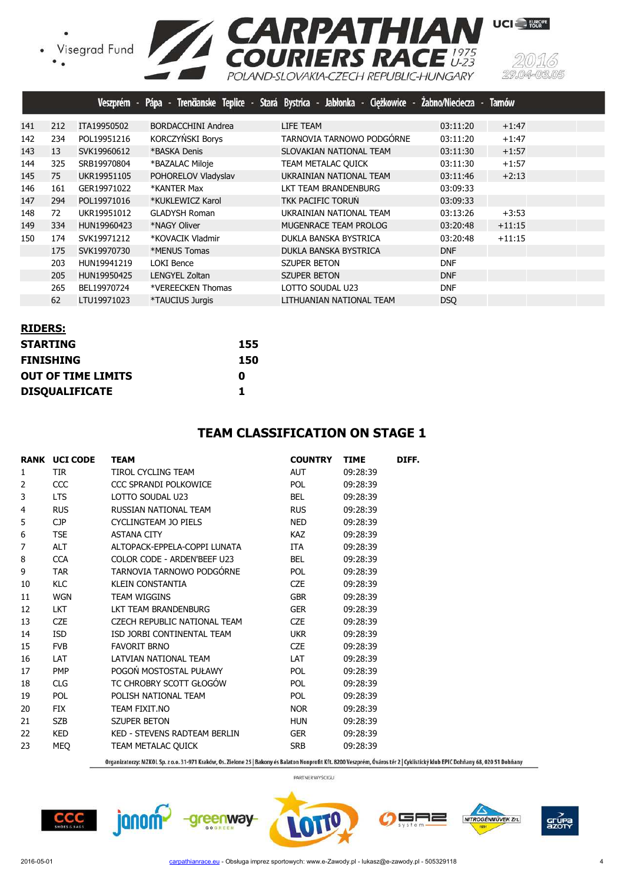![](_page_3_Picture_1.jpeg)

|     |     |             |                               | Veszprém - Pápa - Trenčianske Teplice - Stará Bystrica - Jabłonka - Ciężkowice - Żabno/Nieciecza - Tarnów |            |          |
|-----|-----|-------------|-------------------------------|-----------------------------------------------------------------------------------------------------------|------------|----------|
| 141 | 212 | ITA19950502 | <b>BORDACCHINI Andrea</b>     | LIFE TEAM                                                                                                 | 03:11:20   | $+1:47$  |
| 142 | 234 | POL19951216 | KORCZYŃSKI Borys              | TARNOVIA TARNOWO PODGÓRNE                                                                                 | 03:11:20   | $+1:47$  |
| 143 | 13  | SVK19960612 | *BASKA Denis                  | SLOVAKIAN NATIONAL TEAM                                                                                   | 03:11:30   | $+1:57$  |
| 144 | 325 | SRB19970804 | *BAZALAC Miloje               | TEAM METALAC QUICK                                                                                        | 03:11:30   | $+1:57$  |
| 145 | 75  | UKR19951105 | POHORELOV Vladyslav           | UKRAINIAN NATIONAL TEAM                                                                                   | 03:11:46   | $+2:13$  |
| 146 | 161 | GER19971022 | *KANTER Max                   | LKT TEAM BRANDENBURG                                                                                      | 03:09:33   |          |
| 147 | 294 | POL19971016 | *KUKLEWICZ Karol              | TKK PACIFIC TORUN                                                                                         | 03:09:33   |          |
| 148 | 72  | UKR19951012 | <b>GLADYSH Roman</b>          | UKRAINIAN NATIONAL TEAM                                                                                   | 03:13:26   | $+3:53$  |
| 149 | 334 | HUN19960423 | *NAGY Oliver                  | MUGENRACE TEAM PROLOG                                                                                     | 03:20:48   | $+11:15$ |
| 150 | 174 | SVK19971212 | *KOVACIK Vladmir              | DUKLA BANSKA BYSTRICA                                                                                     | 03:20:48   | $+11:15$ |
|     | 175 | SVK19970730 | *MENUS Tomas                  | DUKLA BANSKA BYSTRICA                                                                                     | <b>DNF</b> |          |
|     | 203 | HUN19941219 | LOKI Bence                    | <b>SZUPER BETON</b>                                                                                       | <b>DNF</b> |          |
|     | 205 | HUN19950425 | LENGYEL Zoltan                | <b>SZUPER BETON</b>                                                                                       | <b>DNF</b> |          |
|     | 265 | BEL19970724 | *VEREECKEN Thomas             | LOTTO SOUDAL U23                                                                                          | <b>DNF</b> |          |
|     | 62  | LTU19971023 | <i><b>*TAUCIUS Jurgis</b></i> | LITHUANIAN NATIONAL TEAM                                                                                  | <b>DSO</b> |          |

| <b>RIDERS:</b>            |     |
|---------------------------|-----|
| <b>STARTING</b>           | 155 |
| <b>FINISHING</b>          | 150 |
| <b>OUT OF TIME LIMITS</b> | 0   |
| <b>DISQUALIFICATE</b>     | 1   |

#### **TEAM CLASSIFICATION ON STAGE 1**

|                | <b>RANK UCI CODE</b> | <b>TEAM</b>                  | <b>COUNTRY</b> | <b>TIME</b> | DIFF. |
|----------------|----------------------|------------------------------|----------------|-------------|-------|
| 1              | <b>TIR</b>           | TIROL CYCLING TEAM           | <b>AUT</b>     | 09:28:39    |       |
| 2              | CCC                  | CCC SPRANDI POLKOWICE        | POL            | 09:28:39    |       |
| 3              | <b>LTS</b>           | LOTTO SOUDAL U23             | <b>BEL</b>     | 09:28:39    |       |
| 4              | <b>RUS</b>           | RUSSIAN NATIONAL TEAM        | <b>RUS</b>     | 09:28:39    |       |
| 5              | <b>CJP</b>           | CYCLINGTEAM JO PIELS         | <b>NED</b>     | 09:28:39    |       |
| 6              | <b>TSE</b>           | <b>ASTANA CITY</b>           | KAZ            | 09:28:39    |       |
| $\overline{7}$ | <b>ALT</b>           | ALTOPACK-EPPELA-COPPI LUNATA | ITA            | 09:28:39    |       |
| 8              | <b>CCA</b>           | COLOR CODE - ARDEN'BEEF U23  | <b>BEL</b>     | 09:28:39    |       |
| 9              | <b>TAR</b>           | TARNOVIA TARNOWO PODGÓRNE    | <b>POL</b>     | 09:28:39    |       |
| 10             | <b>KLC</b>           | <b>KLEIN CONSTANTIA</b>      | <b>CZE</b>     | 09:28:39    |       |
| 11             | <b>WGN</b>           | <b>TEAM WIGGINS</b>          | <b>GBR</b>     | 09:28:39    |       |
| 12             | <b>LKT</b>           | LKT TEAM BRANDENBURG         | <b>GER</b>     | 09:28:39    |       |
| 13             | <b>CZE</b>           | CZECH REPUBLIC NATIONAL TEAM | <b>CZE</b>     | 09:28:39    |       |
| 14             | <b>ISD</b>           | ISD JORBI CONTINENTAL TEAM   | <b>UKR</b>     | 09:28:39    |       |
| 15             | <b>FVB</b>           | <b>FAVORIT BRNO</b>          | <b>CZE</b>     | 09:28:39    |       |
| 16             | <b>LAT</b>           | LATVIAN NATIONAL TEAM        | <b>LAT</b>     | 09:28:39    |       |
| 17             | <b>PMP</b>           | POGOŃ MOSTOSTAL PUŁAWY       | POL            | 09:28:39    |       |
| 18             | <b>CLG</b>           | TC CHROBRY SCOTT GŁOGÓW      | POL            | 09:28:39    |       |
| 19             | <b>POL</b>           | POLISH NATIONAL TEAM         | <b>POL</b>     | 09:28:39    |       |
| 20             | <b>FIX</b>           | TEAM FIXIT.NO                | <b>NOR</b>     | 09:28:39    |       |
| 21             | <b>SZB</b>           | <b>SZUPER BETON</b>          | <b>HUN</b>     | 09:28:39    |       |
| 22             | <b>KED</b>           | KED - STEVENS RADTEAM BERLIN | <b>GER</b>     | 09:28:39    |       |
| 23             | <b>MEQ</b>           | TEAM METALAC QUICK           | <b>SRB</b>     | 09:28:39    |       |
|                |                      |                              |                |             |       |

Organizatorzy: MZKOL Sp. z o.o. 31-971 Kraków, Os. Zielone 25 | Bakony és Balaton Nonprofit Kft. 8200 Veszprém, Óváros tér 2 | Cyklistický klub EPIC Dohňany 68, 020 51 Dohňany

PARTNER WYŚCIGU

 $CCC$ 

**janom** 

![](_page_3_Picture_10.jpeg)

![](_page_3_Picture_11.jpeg)

![](_page_3_Picture_12.jpeg)

-0305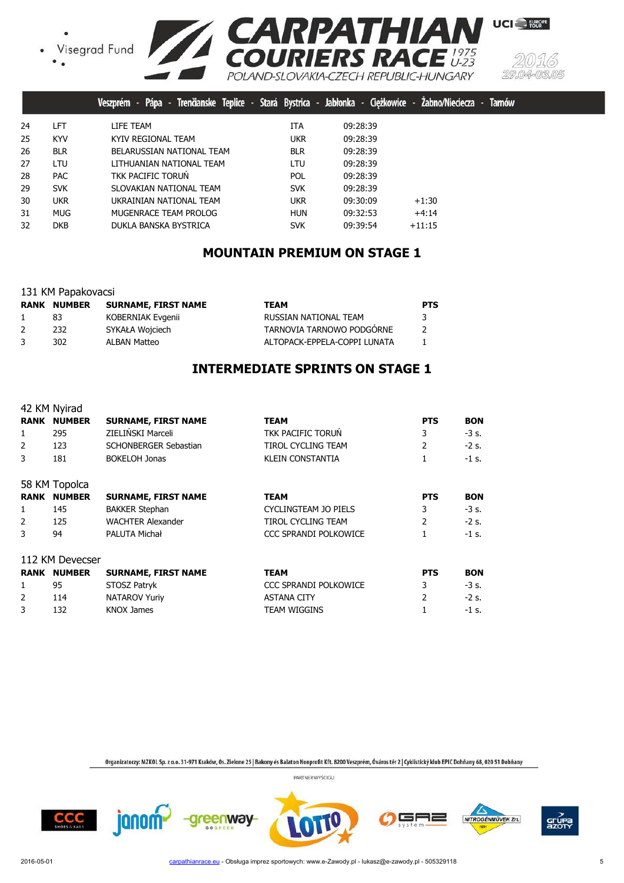![](_page_4_Picture_1.jpeg)

![](_page_4_Picture_2.jpeg)

|    |            | Trenčianske Teplice - Stará Bystrica - Jabłonka - Ciężkowice - Żabno/Nieciecza -<br>Pápa -<br>Veszprém |            |          |          | Tamó |
|----|------------|--------------------------------------------------------------------------------------------------------|------------|----------|----------|------|
| 24 | LFT        | LIFE TEAM                                                                                              | ITA        | 09:28:39 |          |      |
| 25 | <b>KYV</b> | KYIV REGIONAL TEAM                                                                                     | <b>UKR</b> | 09:28:39 |          |      |
| 26 | <b>BLR</b> | BELARUSSIAN NATIONAL TEAM                                                                              | <b>BLR</b> | 09:28:39 |          |      |
| 27 | <b>LTU</b> | LITHUANIAN NATIONAL TEAM                                                                               | LTU        | 09:28:39 |          |      |
| 28 | <b>PAC</b> | TKK PACIFIC TORUN                                                                                      | <b>POL</b> | 09:28:39 |          |      |
| 29 | <b>SVK</b> | SLOVAKIAN NATIONAL TEAM                                                                                | <b>SVK</b> | 09:28:39 |          |      |
| 30 | <b>UKR</b> | UKRAINIAN NATIONAL TEAM                                                                                | <b>UKR</b> | 09:30:09 | $+1:30$  |      |
| 31 | <b>MUG</b> | MUGENRACE TEAM PROLOG                                                                                  | <b>HUN</b> | 09:32:53 | $+4:14$  |      |
| 32 | <b>DKB</b> | DUKLA BANSKA BYSTRICA                                                                                  | <b>SVK</b> | 09:39:54 | $+11:15$ |      |
|    |            |                                                                                                        |            |          |          |      |

## **MOUNTAIN PREMIUM ON STAGE 1**

|  | 131 KM Papakovacsi |
|--|--------------------|
|  |                    |

|   | <b>RANK NUMBER</b> | SURNAME, FIRST NAME | <b>TEAM</b>                  | <b>PTS</b> |
|---|--------------------|---------------------|------------------------------|------------|
|   | 83                 | KOBERNIAK Evgenii   | RUSSIAN NATIONAL TEAM        | 3          |
| 2 | 232                | SYKAŁA Wojciech     | TARNOVIA TARNOWO PODGÓRNE    |            |
| 3 | 302.               | ALBAN Matteo        | ALTOPACK-EPPELA-COPPI LUNATA |            |

## **INTERMEDIATE SPRINTS ON STAGE 1**

|             | 42 KM Nyirad    |                            |                              |                |            |
|-------------|-----------------|----------------------------|------------------------------|----------------|------------|
| RANK        | <b>NUMBER</b>   | <b>SURNAME, FIRST NAME</b> | <b>TEAM</b>                  | <b>PTS</b>     | <b>BON</b> |
| 1           | 295             | ZIELIŃSKI Marceli          | <b>TKK PACIFIC TORUN</b>     | 3              | $-3s$ .    |
| 2           | 123             | SCHONBERGER Sebastian      | <b>TIROL CYCLING TEAM</b>    | $\overline{2}$ | $-2s$ .    |
| 3           | 181             | <b>BOKELOH Jonas</b>       | <b>KLEIN CONSTANTIA</b>      |                | $-1$ s.    |
|             | 58 KM Topolca   |                            |                              |                |            |
| <b>RANK</b> | <b>NUMBER</b>   | <b>SURNAME, FIRST NAME</b> | <b>TEAM</b>                  | <b>PTS</b>     | <b>BON</b> |
| 1           | 145             | <b>BAKKER Stephan</b>      | CYCLINGTEAM JO PIELS         | 3              | $-3$ s.    |
| 2           | 125             | <b>WACHTER Alexander</b>   | TIROL CYCLING TEAM           | $\overline{2}$ | $-2$ s.    |
| 3           | 94              | PALUTA Michał              | CCC SPRANDI POLKOWICE        |                | $-1$ s.    |
|             | 112 KM Devecser |                            |                              |                |            |
| RANK        | <b>NUMBER</b>   | <b>SURNAME, FIRST NAME</b> | <b>TEAM</b>                  | <b>PTS</b>     | <b>BON</b> |
| 1           | 95              | STOSZ Patryk               | <b>CCC SPRANDI POLKOWICE</b> | 3              | -3 s.      |
| 2           | 114             | <b>NATAROV Yuriy</b>       | <b>ASTANA CITY</b>           | $\mathcal{P}$  | $-2$ s.    |
| 3           | 132             | KNOX James                 | TEAM WIGGINS                 |                | -1 s.      |

-greenway-

Organizatorzy: MZKOL Sp. z o.o. 31-971 Kraków, Os. Zielone 25 | Bakony és Balaton Nonprofit Kft. 8200 Veszprém, Óváros tér 2 | Cyklistický klub EPIC Dohňany 68, 020 51 Dohňany

PARTNER WYŚCIGU

╕═

NITROGÉNMŰVEK Zrt.

![](_page_4_Picture_11.jpeg)

![](_page_4_Picture_12.jpeg)

grue<br>azot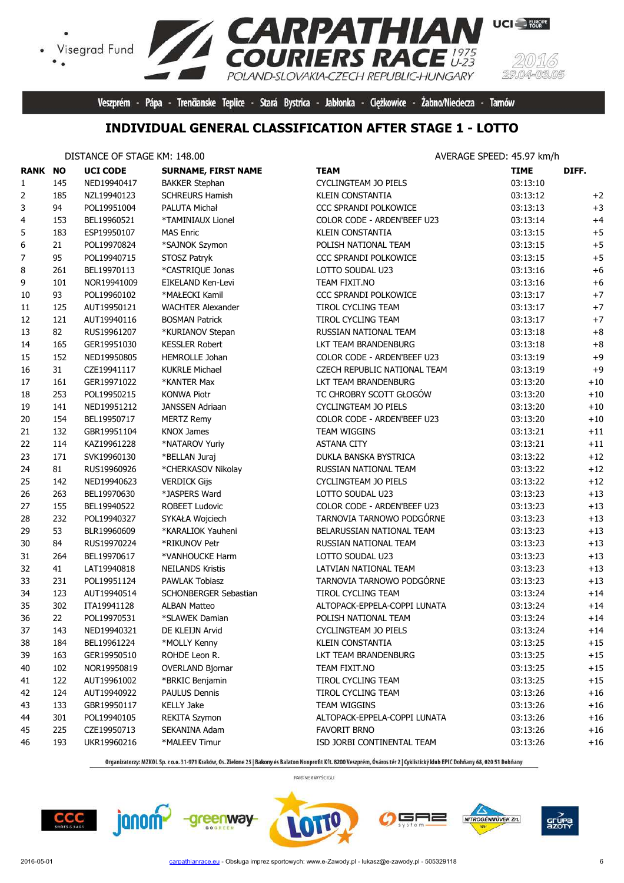![](_page_5_Picture_0.jpeg)

Veszprém - Pápa - Trenčianske Teplice - Stará Bystrica - Jabłonka - Ciężkowice - Żabno/Nieciecza - Tarnów

## **INDIVIDUAL GENERAL CLASSIFICATION AFTER STAGE 1 - LOTTO**

#### DISTANCE OF STAGE KM: 148.00 **AVERAGE SPEED: 45.97 km/h**

 $\bullet$ 

| <b>RANK NO</b> |     | <b>UCI CODE</b> | <b>SURNAME, FIRST NAME</b> | <b>TEAM</b>                  | <b>TIME</b> | DIFF.    |
|----------------|-----|-----------------|----------------------------|------------------------------|-------------|----------|
| $\mathbf{1}$   | 145 | NED19940417     | <b>BAKKER Stephan</b>      | CYCLINGTEAM JO PIELS         | 03:13:10    |          |
| 2              | 185 | NZL19940123     | <b>SCHREURS Hamish</b>     | <b>KLEIN CONSTANTIA</b>      | 03:13:12    | $+2$     |
| 3              | 94  | POL19951004     | PALUTA Michał              | CCC SPRANDI POLKOWICE        | 03:13:13    | $+3$     |
| 4              | 153 | BEL19960521     | *TAMINIAUX Lionel          | COLOR CODE - ARDEN'BEEF U23  | 03:13:14    | $+4$     |
| 5              | 183 | ESP19950107     | <b>MAS Enric</b>           | <b>KLEIN CONSTANTIA</b>      | 03:13:15    | $+5$     |
| 6              | 21  | POL19970824     | *SAJNOK Szymon             | POLISH NATIONAL TEAM         | 03:13:15    | $+5$     |
| 7              | 95  | POL19940715     | STOSZ Patryk               | CCC SPRANDI POLKOWICE        | 03:13:15    | $+5$     |
| 8              | 261 | BEL19970113     | *CASTRIQUE Jonas           | LOTTO SOUDAL U23             | 03:13:16    | $+6$     |
| 9              | 101 | NOR19941009     | EIKELAND Ken-Levi          | TEAM FIXIT.NO                | 03:13:16    | $+6$     |
| 10             | 93  | POL19960102     | *MAŁECKI Kamil             | CCC SPRANDI POLKOWICE        | 03:13:17    | $+7$     |
| 11             | 125 | AUT19950121     | <b>WACHTER Alexander</b>   | <b>TIROL CYCLING TEAM</b>    | 03:13:17    | $+7$     |
| 12             | 121 | AUT19940116     | <b>BOSMAN Patrick</b>      | TIROL CYCLING TEAM           | 03:13:17    | $+7$     |
| 13             | 82  | RUS19961207     | *KURIANOV Stepan           | RUSSIAN NATIONAL TEAM        | 03:13:18    | $+8$     |
| 14             | 165 | GER19951030     | <b>KESSLER Robert</b>      | LKT TEAM BRANDENBURG         | 03:13:18    | $\bf +8$ |
| 15             | 152 | NED19950805     | HEMROLLE Johan             | COLOR CODE - ARDEN'BEEF U23  | 03:13:19    | $+9$     |
| 16             | 31  | CZE19941117     | <b>KUKRLE Michael</b>      | CZECH REPUBLIC NATIONAL TEAM | 03:13:19    | $+9$     |
| 17             | 161 | GER19971022     | *KANTER Max                | LKT TEAM BRANDENBURG         | 03:13:20    | $+10$    |
| 18             | 253 | POL19950215     | <b>KONWA Piotr</b>         | TC CHROBRY SCOTT GŁOGÓW      | 03:13:20    | $+10$    |
| 19             | 141 | NED19951212     | <b>JANSSEN Adriaan</b>     | CYCLINGTEAM JO PIELS         | 03:13:20    | $+10$    |
| 20             | 154 | BEL19950717     | <b>MERTZ Remy</b>          | COLOR CODE - ARDEN'BEEF U23  | 03:13:20    | $+10$    |
| 21             | 132 | GBR19951104     | <b>KNOX James</b>          | TEAM WIGGINS                 | 03:13:21    | $+11$    |
| 22             | 114 | KAZ19961228     | *NATAROV Yuriy             | <b>ASTANA CITY</b>           | 03:13:21    | $+11$    |
| 23             | 171 | SVK19960130     | *BELLAN Juraj              | DUKLA BANSKA BYSTRICA        | 03:13:22    | $+12$    |
| 24             | 81  | RUS19960926     | *CHERKASOV Nikolay         | RUSSIAN NATIONAL TEAM        | 03:13:22    | $+12$    |
| 25             | 142 | NED19940623     | <b>VERDICK Gijs</b>        | CYCLINGTEAM JO PIELS         | 03:13:22    | $+12$    |
| 26             | 263 | BEL19970630     | *JASPERS Ward              | LOTTO SOUDAL U23             | 03:13:23    | $+13$    |
| 27             | 155 | BEL19940522     | <b>ROBEET Ludovic</b>      | COLOR CODE - ARDEN'BEEF U23  | 03:13:23    | $+13$    |
| 28             | 232 | POL19940327     | SYKAŁA Wojciech            | TARNOVIA TARNOWO PODGÓRNE    | 03:13:23    | $+13$    |
| 29             | 53  | BLR19960609     | *KARALIOK Yauheni          | BELARUSSIAN NATIONAL TEAM    | 03:13:23    | $+13$    |
| 30             | 84  | RUS19970224     | *RIKUNOV Petr              | RUSSIAN NATIONAL TEAM        | 03:13:23    | $+13$    |
| 31             | 264 | BEL19970617     | *VANHOUCKE Harm            | LOTTO SOUDAL U23             | 03:13:23    | $+13$    |
| 32             | 41  | LAT19940818     | <b>NEILANDS Kristis</b>    | LATVIAN NATIONAL TEAM        | 03:13:23    | $+13$    |
| 33             | 231 | POL19951124     | PAWLAK Tobiasz             | TARNOVIA TARNOWO PODGÓRNE    | 03:13:23    | $+13$    |
| 34             | 123 | AUT19940514     | SCHONBERGER Sebastian      | TIROL CYCLING TEAM           | 03:13:24    | $+14$    |
| 35             | 302 | ITA19941128     | <b>ALBAN Matteo</b>        | ALTOPACK-EPPELA-COPPI LUNATA | 03:13:24    | $+14$    |
| 36             | 22  | POL19970531     | *SLAWEK Damian             | POLISH NATIONAL TEAM         | 03:13:24    | $+14$    |
| 37             | 143 | NED19940321     | DE KLEIJN Arvid            | CYCLINGTEAM JO PIELS         | 03:13:24    | $+14$    |
| 38             | 184 | BEL19961224     | *MOLLY Kenny               | KLEIN CONSTANTIA             | 03:13:25    | $+15$    |
| 39             | 163 | GER19950510     | ROHDE Leon R.              | LKT TEAM BRANDENBURG         | 03:13:25    | $+15$    |
| 40             | 102 | NOR19950819     | <b>OVERLAND Bjornar</b>    | TEAM FIXIT.NO                | 03:13:25    | $+15$    |
| 41             | 122 | AUT19961002     | *BRKIC Benjamin            | TIROL CYCLING TEAM           | 03:13:25    | $+15$    |
| 42             | 124 | AUT19940922     | PAULUS Dennis              | TIROL CYCLING TEAM           | 03:13:26    | $+16$    |
| 43             | 133 | GBR19950117     | <b>KELLY Jake</b>          | TEAM WIGGINS                 | 03:13:26    | $+16$    |
| 44             | 301 | POL19940105     | REKITA Szymon              | ALTOPACK-EPPELA-COPPI LUNATA | 03:13:26    | $+16$    |
| 45             | 225 | CZE19950713     | SEKANINA Adam              | <b>FAVORIT BRNO</b>          | 03:13:26    | $+16$    |
| 46             | 193 | UKR19960216     | *MALEEV Timur              | ISD JORBI CONTINENTAL TEAM   | 03:13:26    | $+16$    |

Organizatorzy: MZKOL Sp. z o.o. 31-971 Kraków, Os. Zielone 25 | Bakony és Balaton Nonprofit Kft. 8200 Veszprém, Óváros tér 2 | Cyklistický klub EPIC Dohňany 68, 020 51 Dohňany

![](_page_5_Picture_9.jpeg)

![](_page_5_Picture_10.jpeg)

![](_page_5_Picture_11.jpeg)

![](_page_5_Picture_12.jpeg)

![](_page_5_Picture_13.jpeg)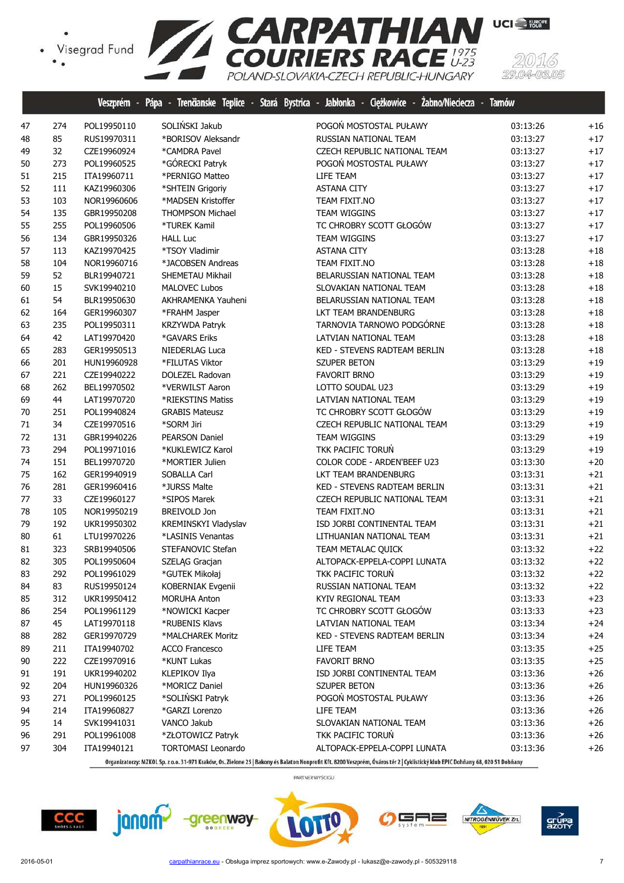![](_page_6_Picture_1.jpeg)

|    |     | Veszprém -  | Pápa<br>Trenäanske Teplice -<br>- 1 | Stará Bystrica - Jabłonka - Ciężkowice - Żabno/Nieciecza - | <b>Tamów</b> |       |
|----|-----|-------------|-------------------------------------|------------------------------------------------------------|--------------|-------|
| 47 | 274 | POL19950110 | SOLIŃSKI Jakub                      | POGOŃ MOSTOSTAL PUŁAWY                                     | 03:13:26     | $+16$ |
| 48 | 85  | RUS19970311 | *BORISOV Aleksandr                  | RUSSIAN NATIONAL TEAM                                      | 03:13:27     | $+17$ |
| 49 | 32  | CZE19960924 | *CAMDRA Pavel                       | CZECH REPUBLIC NATIONAL TEAM                               | 03:13:27     | $+17$ |
| 50 | 273 | POL19960525 | *GÓRECKI Patryk                     | POGOŃ MOSTOSTAL PUŁAWY                                     | 03:13:27     | $+17$ |
| 51 | 215 | ITA19960711 | *PERNIGO Matteo                     | LIFE TEAM                                                  | 03:13:27     | $+17$ |
| 52 | 111 | KAZ19960306 | *SHTEIN Grigoriy                    | <b>ASTANA CITY</b>                                         | 03:13:27     | $+17$ |
| 53 | 103 | NOR19960606 | *MADSEN Kristoffer                  | TEAM FIXIT.NO                                              | 03:13:27     | $+17$ |
| 54 | 135 | GBR19950208 | <b>THOMPSON Michael</b>             | TEAM WIGGINS                                               | 03:13:27     | $+17$ |
| 55 | 255 | POL19960506 | *TUREK Kamil                        | TC CHROBRY SCOTT GŁOGÓW                                    | 03:13:27     | $+17$ |
| 56 | 134 | GBR19950326 | <b>HALL Luc</b>                     | TEAM WIGGINS                                               | 03:13:27     | $+17$ |
| 57 | 113 | KAZ19970425 | *TSOY Vladimir                      | <b>ASTANA CITY</b>                                         | 03:13:28     | $+18$ |
| 58 | 104 | NOR19960716 | *JACOBSEN Andreas                   | TEAM FIXIT.NO                                              | 03:13:28     | $+18$ |
| 59 | 52  | BLR19940721 | SHEMETAU Mikhail                    | BELARUSSIAN NATIONAL TEAM                                  | 03:13:28     | $+18$ |
| 60 | 15  | SVK19940210 | <b>MALOVEC Lubos</b>                | SLOVAKIAN NATIONAL TEAM                                    | 03:13:28     | $+18$ |
| 61 | 54  | BLR19950630 | AKHRAMENKA Yauheni                  | BELARUSSIAN NATIONAL TEAM                                  | 03:13:28     | $+18$ |
| 62 | 164 | GER19960307 | *FRAHM Jasper                       | LKT TEAM BRANDENBURG                                       | 03:13:28     | $+18$ |
| 63 | 235 | POL19950311 | KRZYWDA Patryk                      | TARNOVIA TARNOWO PODGÓRNE                                  | 03:13:28     | $+18$ |
| 64 | 42  | LAT19970420 | *GAVARS Eriks                       | LATVIAN NATIONAL TEAM                                      | 03:13:28     | $+18$ |
| 65 | 283 | GER19950513 | NIEDERLAG Luca                      | KED - STEVENS RADTEAM BERLIN                               | 03:13:28     | $+18$ |
| 66 | 201 | HUN19960928 | *FILUTAS Viktor                     | <b>SZUPER BETON</b>                                        | 03:13:29     | $+19$ |
| 67 | 221 | CZE19940222 | <b>DOLEZEL Radovan</b>              | <b>FAVORIT BRNO</b>                                        | 03:13:29     | $+19$ |
| 68 | 262 | BEL19970502 | *VERWILST Aaron                     | LOTTO SOUDAL U23                                           | 03:13:29     | $+19$ |
| 69 | 44  | LAT19970720 | *RIEKSTINS Matiss                   | LATVIAN NATIONAL TEAM                                      | 03:13:29     | $+19$ |
| 70 | 251 | POL19940824 | <b>GRABIS Mateusz</b>               | TC CHROBRY SCOTT GŁOGÓW                                    | 03:13:29     | $+19$ |
| 71 | 34  | CZE19970516 | *SORM Jiri                          | CZECH REPUBLIC NATIONAL TEAM                               | 03:13:29     | $+19$ |
| 72 | 131 | GBR19940226 | PEARSON Daniel                      | TEAM WIGGINS                                               | 03:13:29     | $+19$ |
| 73 | 294 | POL19971016 | *KUKLEWICZ Karol                    | TKK PACIFIC TORUŃ                                          | 03:13:29     | $+19$ |
| 74 | 151 | BEL19970720 | *MORTIER Julien                     | COLOR CODE - ARDEN'BEEF U23                                | 03:13:30     | $+20$ |
| 75 | 162 | GER19940919 | SOBALLA Carl                        | LKT TEAM BRANDENBURG                                       | 03:13:31     | $+21$ |
| 76 | 281 | GER19960416 | *JURSS Malte                        | KED - STEVENS RADTEAM BERLIN                               | 03:13:31     | $+21$ |
| 77 | 33  | CZE19960127 | *SIPOS Marek                        | CZECH REPUBLIC NATIONAL TEAM                               | 03:13:31     | $+21$ |
| 78 | 105 | NOR19950219 | BREIVOLD Jon                        | TEAM FIXIT.NO                                              | 03:13:31     | $+21$ |
| 79 | 192 | UKR19950302 | KREMINSKYI Vladyslav                | ISD JORBI CONTINENTAL TEAM                                 | 03:13:31     | $+21$ |
| 80 | 61  | LTU19970226 | *LASINIS Venantas                   | LITHUANIAN NATIONAL TEAM                                   | 03:13:31     | $+21$ |
| 81 | 323 | SRB19940506 | STEFANOVIC Stefan                   | TEAM METALAC QUICK                                         | 03:13:32     | $+22$ |
| 82 | 305 | POL19950604 | SZELĄG Gracjan                      | ALTOPACK-EPPELA-COPPI LUNATA                               | 03:13:32     | $+22$ |
| 83 | 292 | POL19961029 | *GUTEK Mikołaj                      | TKK PACIFIC TORUN                                          | 03:13:32     | $+22$ |
| 84 | 83  | RUS19950124 | KOBERNIAK Evgenii                   | RUSSIAN NATIONAL TEAM                                      | 03:13:32     | $+22$ |
| 85 | 312 | UKR19950412 | MORUHA Anton                        | KYIV REGIONAL TEAM                                         | 03:13:33     | $+23$ |
| 86 | 254 | POL19961129 | *NOWICKI Kacper                     | TC CHROBRY SCOTT GŁOGÓW                                    | 03:13:33     | $+23$ |
| 87 | 45  | LAT19970118 | *RUBENIS Klavs                      | LATVIAN NATIONAL TEAM                                      | 03:13:34     | $+24$ |
| 88 | 282 | GER19970729 | *MALCHAREK Moritz                   | KED - STEVENS RADTEAM BERLIN                               | 03:13:34     | $+24$ |
| 89 | 211 | ITA19940702 | <b>ACCO Francesco</b>               | LIFE TEAM                                                  | 03:13:35     | $+25$ |
| 90 | 222 | CZE19970916 | *KUNT Lukas                         | <b>FAVORIT BRNO</b>                                        | 03:13:35     | $+25$ |
| 91 | 191 | UKR19940202 | KLEPIKOV Ilya                       | ISD JORBI CONTINENTAL TEAM                                 | 03:13:36     | $+26$ |
| 92 | 204 | HUN19960326 | *MORICZ Daniel                      | <b>SZUPER BETON</b>                                        | 03:13:36     | $+26$ |
| 93 | 271 | POL19960125 | *SOLIŃSKI Patryk                    | POGOŃ MOSTOSTAL PUŁAWY                                     | 03:13:36     | $+26$ |
| 94 | 214 | ITA19960827 | *GARZI Lorenzo                      | LIFE TEAM                                                  | 03:13:36     | $+26$ |
| 95 | 14  | SVK19941031 | VANCO Jakub                         | SLOVAKIAN NATIONAL TEAM                                    | 03:13:36     | $+26$ |
| 96 | 291 | POL19961008 | *ZŁOTOWICZ Patryk                   | TKK PACIFIC TORUŃ                                          | 03:13:36     | $+26$ |
| 97 | 304 | ITA19940121 | <b>TORTOMASI Leonardo</b>           | ALTOPACK-EPPELA-COPPI LUNATA                               | 03:13:36     | $+26$ |

Organizatorzy: MZKOL Sp. z o.o. 31-971 Kraków, Os. Zielone 25 | Bakony és Balaton Nonprofit Kft. 8200 Veszprém, Óváros tér 2 | Cyklistický klub EPIC Dohňany 68, 020 51 Dohňany

PARTNER WYŚCIGU

![](_page_6_Picture_5.jpeg)

![](_page_6_Picture_6.jpeg)

![](_page_6_Picture_7.jpeg)

5F ╕═

![](_page_6_Picture_9.jpeg)

(5)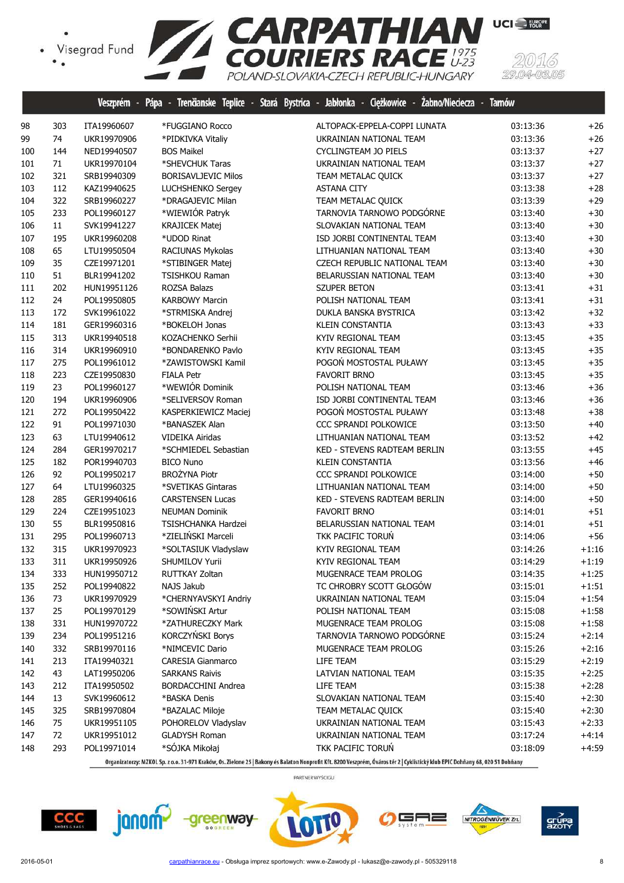![](_page_7_Picture_1.jpeg)

|     |     |             |                            | Veszprém - Pápa - Trenčianske Teplice - Stará Bystrica - Jabłonka - Ciężkowice - Zabno/Nieciecza - Tarnów |          |         |
|-----|-----|-------------|----------------------------|-----------------------------------------------------------------------------------------------------------|----------|---------|
| 98  | 303 | ITA19960607 | *FUGGIANO Rocco            | ALTOPACK-EPPELA-COPPI LUNATA                                                                              | 03:13:36 | $+26$   |
| 99  | 74  | UKR19970906 | *PIDKIVKA Vitaliy          | UKRAINIAN NATIONAL TEAM                                                                                   | 03:13:36 | $+26$   |
| 100 | 144 | NED19940507 | <b>BOS Maikel</b>          | CYCLINGTEAM JO PIELS                                                                                      | 03:13:37 | $+27$   |
| 101 | 71  | UKR19970104 | *SHEVCHUK Taras            | UKRAINIAN NATIONAL TEAM                                                                                   | 03:13:37 | $+27$   |
| 102 | 321 | SRB19940309 | <b>BORISAVLJEVIC Milos</b> | TEAM METALAC QUICK                                                                                        | 03:13:37 | $+27$   |
| 103 | 112 | KAZ19940625 | LUCHSHENKO Sergey          | <b>ASTANA CITY</b>                                                                                        | 03:13:38 | $+28$   |
| 104 | 322 | SRB19960227 | *DRAGAJEVIC Milan          | TEAM METALAC QUICK                                                                                        | 03:13:39 | $+29$   |
| 105 | 233 | POL19960127 | *WIEWIÓR Patryk            | TARNOVIA TARNOWO PODGÓRNE                                                                                 | 03:13:40 | $+30$   |
| 106 | 11  | SVK19941227 | <b>KRAJICEK Matej</b>      | SLOVAKIAN NATIONAL TEAM                                                                                   | 03:13:40 | $+30$   |
| 107 | 195 | UKR19960208 | *UDOD Rinat                | ISD JORBI CONTINENTAL TEAM                                                                                | 03:13:40 | $+30$   |
| 108 | 65  | LTU19950504 | RACIUNAS Mykolas           | LITHUANIAN NATIONAL TEAM                                                                                  | 03:13:40 | $+30$   |
| 109 | 35  | CZE19971201 | *STIBINGER Matej           | CZECH REPUBLIC NATIONAL TEAM                                                                              | 03:13:40 | $+30$   |
| 110 | 51  | BLR19941202 | <b>TSISHKOU Raman</b>      | BELARUSSIAN NATIONAL TEAM                                                                                 | 03:13:40 | $+30$   |
| 111 | 202 | HUN19951126 | ROZSA Balazs               | SZUPER BETON                                                                                              | 03:13:41 | $+31$   |
| 112 | 24  | POL19950805 | <b>KARBOWY Marcin</b>      | POLISH NATIONAL TEAM                                                                                      | 03:13:41 | $+31$   |
| 113 | 172 | SVK19961022 | *STRMISKA Andrej           | DUKLA BANSKA BYSTRICA                                                                                     | 03:13:42 | $+32$   |
| 114 | 181 | GER19960316 | *BOKELOH Jonas             | KLEIN CONSTANTIA                                                                                          | 03:13:43 | $+33$   |
| 115 | 313 | UKR19940518 | KOZACHENKO Serhii          | KYIV REGIONAL TEAM                                                                                        | 03:13:45 | $+35$   |
| 116 | 314 | UKR19960910 | *BONDARENKO Pavlo          | KYIV REGIONAL TEAM                                                                                        | 03:13:45 | $+35$   |
| 117 | 275 | POL19961012 | *ZAWISTOWSKI Kamil         | POGOŃ MOSTOSTAL PUŁAWY                                                                                    | 03:13:45 | $+35$   |
| 118 | 223 | CZE19950830 | <b>FIALA Petr</b>          | <b>FAVORIT BRNO</b>                                                                                       | 03:13:45 | $+35$   |
| 119 | 23  | POL19960127 | *WEWIÓR Dominik            | POLISH NATIONAL TEAM                                                                                      | 03:13:46 | $+36$   |
| 120 | 194 | UKR19960906 | *SELIVERSOV Roman          | ISD JORBI CONTINENTAL TEAM                                                                                | 03:13:46 | $+36$   |
| 121 | 272 | POL19950422 | KASPERKIEWICZ Maciej       | POGOŃ MOSTOSTAL PUŁAWY                                                                                    | 03:13:48 | $+38$   |
| 122 | 91  | POL19971030 | *BANASZEK Alan             | CCC SPRANDI POLKOWICE                                                                                     | 03:13:50 | $+40$   |
| 123 | 63  | LTU19940612 | <b>VIDEIKA Airidas</b>     | LITHUANIAN NATIONAL TEAM                                                                                  | 03:13:52 | $+42$   |
| 124 | 284 | GER19970217 | *SCHMIEDEL Sebastian       | KED - STEVENS RADTEAM BERLIN                                                                              | 03:13:55 | $+45$   |
| 125 | 182 | POR19940703 | <b>BICO Nuno</b>           | KLEIN CONSTANTIA                                                                                          | 03:13:56 | $+46$   |
| 126 | 92  | POL19950217 | <b>BROŻYNA Piotr</b>       | CCC SPRANDI POLKOWICE                                                                                     | 03:14:00 | $+50$   |
| 127 | 64  | LTU19960325 | *SVETIKAS Gintaras         | LITHUANIAN NATIONAL TEAM                                                                                  | 03:14:00 | $+50$   |
| 128 | 285 | GER19940616 | <b>CARSTENSEN Lucas</b>    | KED - STEVENS RADTEAM BERLIN                                                                              | 03:14:00 | $+50$   |
| 129 | 224 | CZE19951023 | <b>NEUMAN Dominik</b>      | <b>FAVORIT BRNO</b>                                                                                       | 03:14:01 | $+51$   |
| 130 | 55  | BLR19950816 | TSISHCHANKA Hardzei        | BELARUSSIAN NATIONAL TEAM                                                                                 | 03:14:01 | $+51$   |
| 131 | 295 | POL19960713 | *ZIELIŃSKI Marceli         | TKK PACIFIC TORUŃ                                                                                         | 03:14:06 | $+56$   |
| 132 | 315 | UKR19970923 | *SOLTASIUK Vladyslaw       | KYIV REGIONAL TEAM                                                                                        | 03:14:26 | $+1:16$ |
| 133 | 311 | UKR19950926 | <b>SHUMILOV Yurii</b>      | KYIV REGIONAL TEAM                                                                                        | 03:14:29 | $+1:19$ |
| 134 | 333 | HUN19950712 | RUTTKAY Zoltan             | MUGENRACE TEAM PROLOG                                                                                     | 03:14:35 | $+1:25$ |
| 135 | 252 | POL19940822 | NAJS Jakub                 | TC CHROBRY SCOTT GŁOGÓW                                                                                   | 03:15:01 | $+1:51$ |
| 136 | 73  | UKR19970929 | *CHERNYAVSKYI Andriy       | UKRAINIAN NATIONAL TEAM                                                                                   | 03:15:04 | $+1:54$ |
| 137 | 25  | POL19970129 | *SOWIŃSKI Artur            | POLISH NATIONAL TEAM                                                                                      | 03:15:08 | $+1:58$ |
| 138 | 331 | HUN19970722 | *ZATHURECZKY Mark          | MUGENRACE TEAM PROLOG                                                                                     | 03:15:08 | $+1:58$ |
| 139 | 234 | POL19951216 | KORCZYŃSKI Borys           | TARNOVIA TARNOWO PODGÓRNE                                                                                 | 03:15:24 | $+2:14$ |
| 140 | 332 | SRB19970116 | *NIMCEVIC Dario            | MUGENRACE TEAM PROLOG                                                                                     | 03:15:26 | $+2:16$ |
| 141 | 213 | ITA19940321 | <b>CARESIA Gianmarco</b>   | LIFE TEAM                                                                                                 | 03:15:29 | $+2:19$ |
| 142 | 43  | LAT19950206 | <b>SARKANS Raivis</b>      | LATVIAN NATIONAL TEAM                                                                                     | 03:15:35 | $+2:25$ |
| 143 | 212 | ITA19950502 | BORDACCHINI Andrea         | LIFE TEAM                                                                                                 | 03:15:38 | $+2:28$ |
| 144 | 13  | SVK19960612 | *BASKA Denis               | SLOVAKIAN NATIONAL TEAM                                                                                   | 03:15:40 | $+2:30$ |
| 145 | 325 | SRB19970804 | *BAZALAC Miloje            | TEAM METALAC QUICK                                                                                        | 03:15:40 | $+2:30$ |
| 146 | 75  | UKR19951105 | POHORELOV Vladyslav        | UKRAINIAN NATIONAL TEAM                                                                                   | 03:15:43 | $+2:33$ |
| 147 | 72  | UKR19951012 | <b>GLADYSH Roman</b>       | UKRAINIAN NATIONAL TEAM                                                                                   | 03:17:24 | $+4:14$ |
| 148 | 293 | POL19971014 | *SÓJKA Mikołaj             | TKK PACIFIC TORUŃ                                                                                         | 03:18:09 | $+4:59$ |

Organizatorzy: MZKOL Sp. z o.o. 31-971 Kraków, Os. Zielone 25 | Bakony és Balaton Nonprofit Kft. 8200 Veszprém, Óváros tér 2 | Cyklistický klub EPIC Dohňany 68, 020 51 Dohňany

![](_page_7_Picture_5.jpeg)

![](_page_7_Picture_6.jpeg)

![](_page_7_Picture_7.jpeg)

![](_page_7_Picture_8.jpeg)

![](_page_7_Picture_9.jpeg)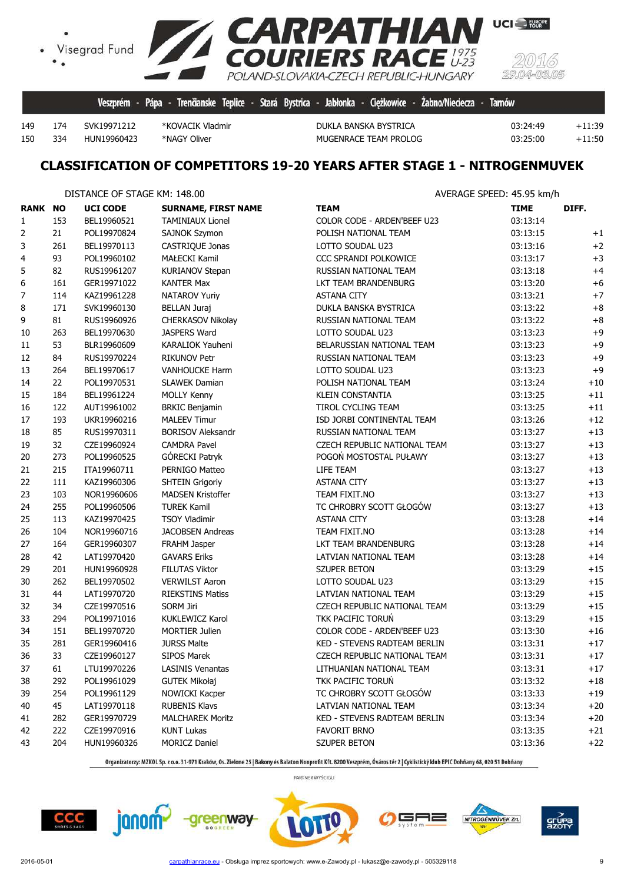![](_page_8_Picture_0.jpeg)

334 HUN19960423 \*NAGY Oliver MUGENRACE TEAM PROLOG 03:25:00 +11:50

174 SVK19971212 \*KOVACIK Vladmir DUKLA BANSKA BYSTRICA 03:24:49 +11:39

**UCI** EUROPE

## **CLASSIFICATION OF COMPETITORS 19-20 YEARS AFTER STAGE 1 - NITROGENMUVEK**

|                |     | DISTANCE OF STAGE KM: 148.00 |                            | AVERAGE SPEED: 45.95 km/h    |             |       |  |  |
|----------------|-----|------------------------------|----------------------------|------------------------------|-------------|-------|--|--|
| <b>RANK NO</b> |     | <b>UCI CODE</b>              | <b>SURNAME, FIRST NAME</b> | <b>TEAM</b>                  | <b>TIME</b> | DIFF. |  |  |
| $\mathbf{1}$   | 153 | BEL19960521                  | <b>TAMINIAUX Lionel</b>    | COLOR CODE - ARDEN'BEEF U23  | 03:13:14    |       |  |  |
| 2              | 21  | POL19970824                  | SAJNOK Szymon              | POLISH NATIONAL TEAM         | 03:13:15    | $+1$  |  |  |
| 3              | 261 | BEL19970113                  | CASTRIQUE Jonas            | LOTTO SOUDAL U23             | 03:13:16    | $+2$  |  |  |
| 4              | 93  | POL19960102                  | <b>MAŁECKI Kamil</b>       | CCC SPRANDI POLKOWICE        | 03:13:17    | $+3$  |  |  |
| 5              | 82  | RUS19961207                  | <b>KURIANOV Stepan</b>     | RUSSIAN NATIONAL TEAM        | 03:13:18    | $+4$  |  |  |
| 6              | 161 | GER19971022                  | <b>KANTER Max</b>          | LKT TEAM BRANDENBURG         | 03:13:20    | $+6$  |  |  |
| 7              | 114 | KAZ19961228                  | NATAROV Yuriy              | <b>ASTANA CITY</b>           | 03:13:21    | $+7$  |  |  |
| 8              | 171 | SVK19960130                  | <b>BELLAN Juraj</b>        | DUKLA BANSKA BYSTRICA        | 03:13:22    | $+8$  |  |  |
| 9              | 81  | RUS19960926                  | CHERKASOV Nikolay          | RUSSIAN NATIONAL TEAM        | 03:13:22    | $+8$  |  |  |
| 10             | 263 | BEL19970630                  | JASPERS Ward               | LOTTO SOUDAL U23             | 03:13:23    | $+9$  |  |  |
| 11             | 53  | BLR19960609                  | KARALIOK Yauheni           | BELARUSSIAN NATIONAL TEAM    | 03:13:23    | $+9$  |  |  |
| 12             | 84  | RUS19970224                  | <b>RIKUNOV Petr</b>        | RUSSIAN NATIONAL TEAM        | 03:13:23    | $+9$  |  |  |
| 13             | 264 | BEL19970617                  | <b>VANHOUCKE Harm</b>      | LOTTO SOUDAL U23             | 03:13:23    | $+9$  |  |  |
| 14             | 22  | POL19970531                  | <b>SLAWEK Damian</b>       | POLISH NATIONAL TEAM         | 03:13:24    | $+10$ |  |  |
| 15             | 184 | BEL19961224                  | <b>MOLLY Kenny</b>         | <b>KLEIN CONSTANTIA</b>      | 03:13:25    | $+11$ |  |  |
| 16             | 122 | AUT19961002                  | <b>BRKIC Benjamin</b>      | TIROL CYCLING TEAM           | 03:13:25    | $+11$ |  |  |
| 17             | 193 | UKR19960216                  | <b>MALEEV Timur</b>        | ISD JORBI CONTINENTAL TEAM   | 03:13:26    | $+12$ |  |  |
| 18             | 85  | RUS19970311                  | <b>BORISOV Aleksandr</b>   | RUSSIAN NATIONAL TEAM        | 03:13:27    | $+13$ |  |  |
| 19             | 32  | CZE19960924                  | <b>CAMDRA Pavel</b>        | CZECH REPUBLIC NATIONAL TEAM | 03:13:27    | $+13$ |  |  |
| 20             | 273 | POL19960525                  | GÓRECKI Patryk             | POGOŃ MOSTOSTAL PUŁAWY       | 03:13:27    | $+13$ |  |  |
| 21             | 215 | ITA19960711                  | PERNIGO Matteo             | LIFE TEAM                    | 03:13:27    | $+13$ |  |  |
| 22             | 111 | KAZ19960306                  | <b>SHTEIN Grigoriy</b>     | <b>ASTANA CITY</b>           | 03:13:27    | $+13$ |  |  |
| 23             | 103 | NOR19960606                  | <b>MADSEN Kristoffer</b>   | TEAM FIXIT.NO                | 03:13:27    | $+13$ |  |  |
| 24             | 255 | POL19960506                  | <b>TUREK Kamil</b>         | TC CHROBRY SCOTT GŁOGÓW      | 03:13:27    | $+13$ |  |  |
| 25             | 113 | KAZ19970425                  | <b>TSOY Vladimir</b>       | <b>ASTANA CITY</b>           | 03:13:28    | $+14$ |  |  |
| 26             | 104 | NOR19960716                  | <b>JACOBSEN Andreas</b>    | TEAM FIXIT.NO                | 03:13:28    | $+14$ |  |  |
| 27             | 164 | GER19960307                  | FRAHM Jasper               | LKT TEAM BRANDENBURG         | 03:13:28    | $+14$ |  |  |
| 28             | 42  | LAT19970420                  | <b>GAVARS Eriks</b>        | LATVIAN NATIONAL TEAM        | 03:13:28    | $+14$ |  |  |
| 29             | 201 | HUN19960928                  | <b>FILUTAS Viktor</b>      | <b>SZUPER BETON</b>          | 03:13:29    | $+15$ |  |  |
| 30             | 262 | BEL19970502                  | <b>VERWILST Aaron</b>      | LOTTO SOUDAL U23             | 03:13:29    | $+15$ |  |  |
| 31             | 44  | LAT19970720                  | <b>RIEKSTINS Matiss</b>    | LATVIAN NATIONAL TEAM        | 03:13:29    | $+15$ |  |  |
| 32             | 34  | CZE19970516                  | <b>SORM Jiri</b>           | CZECH REPUBLIC NATIONAL TEAM | 03:13:29    | $+15$ |  |  |
| 33             | 294 | POL19971016                  | KUKLEWICZ Karol            | TKK PACIFIC TORUN            | 03:13:29    | $+15$ |  |  |
| 34             | 151 | BEL19970720                  | <b>MORTIER Julien</b>      | COLOR CODE - ARDEN'BEEF U23  | 03:13:30    | $+16$ |  |  |
| 35             | 281 | GER19960416                  | <b>JURSS Malte</b>         | KED - STEVENS RADTEAM BERLIN | 03:13:31    | $+17$ |  |  |
| 36             | 33  | CZE19960127                  | <b>SIPOS Marek</b>         | CZECH REPUBLIC NATIONAL TEAM | 03:13:31    | $+17$ |  |  |
| 37             | 61  | LTU19970226                  | <b>LASINIS Venantas</b>    | LITHUANIAN NATIONAL TEAM     | 03:13:31    | $+17$ |  |  |
| 38             | 292 | POL19961029                  | <b>GUTEK Mikołaj</b>       | TKK PACIFIC TORUN            | 03:13:32    | $+18$ |  |  |
| 39             | 254 | POL19961129                  | NOWICKI Kacper             | TC CHROBRY SCOTT GŁOGÓW      | 03:13:33    | $+19$ |  |  |
| 40             | 45  | LAT19970118                  | <b>RUBENIS Klavs</b>       | LATVIAN NATIONAL TEAM        | 03:13:34    | $+20$ |  |  |
| 41             | 282 | GER19970729                  | <b>MALCHAREK Moritz</b>    | KED - STEVENS RADTEAM BERLIN | 03:13:34    | $+20$ |  |  |
| 42             | 222 | CZE19970916                  | <b>KUNT Lukas</b>          | <b>FAVORIT BRNO</b>          | 03:13:35    | $+21$ |  |  |
| 43             | 204 | HUN19960326                  | <b>MORICZ Daniel</b>       | SZUPER BETON                 | 03:13:36    | $+22$ |  |  |

Organizatorzy: MZKOL Sp. z o.o. 31-971 Kraków, Os. Zielone 25 | Bakony és Balaton Nonprofit Kft. 8200 Veszprém, Óváros tér 2 | Cyklistický klub EPIC Dohňany 68, 020 51 Dohňany

PARTNER WYŚCIGU

![](_page_8_Picture_9.jpeg)

greenway

![](_page_8_Picture_11.jpeg)

![](_page_8_Picture_13.jpeg)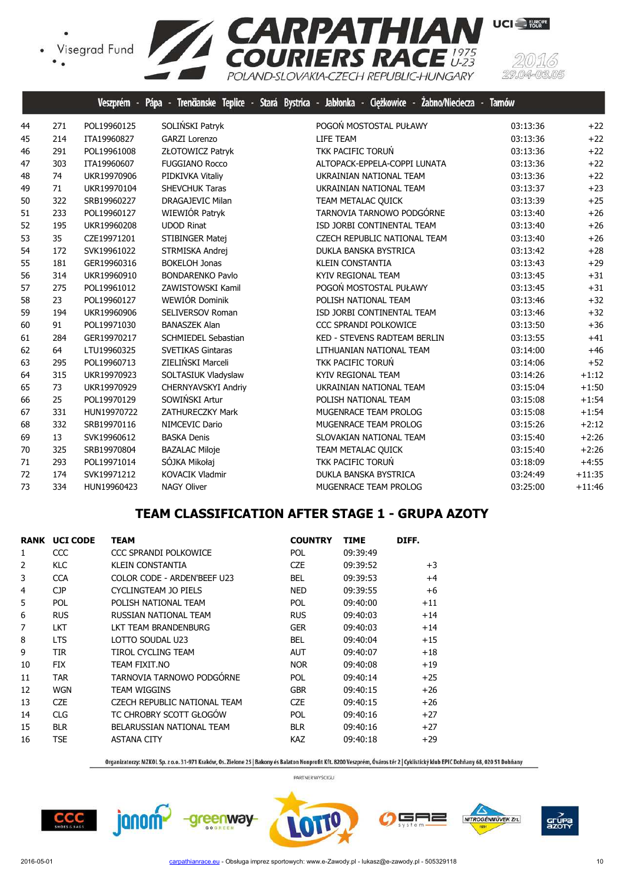![](_page_9_Picture_1.jpeg)

|    |     | Veszprém -  | Trenäanske Teplice -<br>Pápa<br>Ł | Jabłonka - Ciężkowice - Żabno/Nieciecza -<br>Stará Bystrica - | <b>Tarnów</b> |          |
|----|-----|-------------|-----------------------------------|---------------------------------------------------------------|---------------|----------|
| 44 | 271 | POL19960125 | SOLIŃSKI Patryk                   | POGOŃ MOSTOSTAL PUŁAWY                                        | 03:13:36      | $+22$    |
| 45 | 214 | ITA19960827 | <b>GARZI Lorenzo</b>              | LIFE TEAM                                                     | 03:13:36      | $+22$    |
| 46 | 291 | POL19961008 | ZŁOTOWICZ Patryk                  | TKK PACIFIC TORUŃ                                             | 03:13:36      | $+22$    |
| 47 | 303 | ITA19960607 | <b>FUGGIANO Rocco</b>             | ALTOPACK-EPPELA-COPPI LUNATA                                  | 03:13:36      | $+22$    |
| 48 | 74  | UKR19970906 | PIDKIVKA Vitaliy                  | UKRAINIAN NATIONAL TEAM                                       | 03:13:36      | $+22$    |
| 49 | 71  | UKR19970104 | SHEVCHUK Taras                    | UKRAINIAN NATIONAL TEAM                                       | 03:13:37      | $+23$    |
| 50 | 322 | SRB19960227 | <b>DRAGAJEVIC Milan</b>           | TEAM METALAC QUICK                                            | 03:13:39      | $+25$    |
| 51 | 233 | POL19960127 | WIEWIÓR Patryk                    | TARNOVIA TARNOWO PODGÓRNE                                     | 03:13:40      | $+26$    |
| 52 | 195 | UKR19960208 | <b>UDOD Rinat</b>                 | ISD JORBI CONTINENTAL TEAM                                    | 03:13:40      | $+26$    |
| 53 | 35  | CZE19971201 | STIBINGER Matej                   | CZECH REPUBLIC NATIONAL TEAM                                  | 03:13:40      | $+26$    |
| 54 | 172 | SVK19961022 | STRMISKA Andrej                   | DUKLA BANSKA BYSTRICA                                         | 03:13:42      | $+28$    |
| 55 | 181 | GER19960316 | <b>BOKELOH Jonas</b>              | <b>KLEIN CONSTANTIA</b>                                       | 03:13:43      | $+29$    |
| 56 | 314 | UKR19960910 | <b>BONDARENKO Pavlo</b>           | KYIV REGIONAL TEAM                                            | 03:13:45      | $+31$    |
| 57 | 275 | POL19961012 | ZAWISTOWSKI Kamil                 | POGOŃ MOSTOSTAL PUŁAWY                                        | 03:13:45      | $+31$    |
| 58 | 23  | POL19960127 | WEWIÓR Dominik                    | POLISH NATIONAL TEAM                                          | 03:13:46      | $+32$    |
| 59 | 194 | UKR19960906 | SELIVERSOV Roman                  | ISD JORBI CONTINENTAL TEAM                                    | 03:13:46      | $+32$    |
| 60 | 91  | POL19971030 | <b>BANASZEK Alan</b>              | CCC SPRANDI POLKOWICE                                         | 03:13:50      | $+36$    |
| 61 | 284 | GER19970217 | <b>SCHMIEDEL Sebastian</b>        | <b>KED - STEVENS RADTEAM BERLIN</b>                           | 03:13:55      | $+41$    |
| 62 | 64  | LTU19960325 | <b>SVETIKAS Gintaras</b>          | LITHUANIAN NATIONAL TEAM                                      | 03:14:00      | $+46$    |
| 63 | 295 | POL19960713 | ZIELIŃSKI Marceli                 | TKK PACIFIC TORUŃ                                             | 03:14:06      | $+52$    |
| 64 | 315 | UKR19970923 | SOLTASIUK Vladyslaw               | KYIV REGIONAL TEAM                                            | 03:14:26      | $+1:12$  |
| 65 | 73  | UKR19970929 | CHERNYAVSKYI Andriy               | UKRAINIAN NATIONAL TEAM                                       | 03:15:04      | $+1:50$  |
| 66 | 25  | POL19970129 | SOWIŃSKI Artur                    | POLISH NATIONAL TEAM                                          | 03:15:08      | $+1:54$  |
| 67 | 331 | HUN19970722 | <b>ZATHURECZKY Mark</b>           | MUGENRACE TEAM PROLOG                                         | 03:15:08      | $+1:54$  |
| 68 | 332 | SRB19970116 | NIMCEVIC Dario                    | MUGENRACE TEAM PROLOG                                         | 03:15:26      | $+2:12$  |
| 69 | 13  | SVK19960612 | <b>BASKA Denis</b>                | SLOVAKIAN NATIONAL TEAM                                       | 03:15:40      | $+2:26$  |
| 70 | 325 | SRB19970804 | <b>BAZALAC Miloje</b>             | TEAM METALAC QUICK                                            | 03:15:40      | $+2:26$  |
| 71 | 293 | POL19971014 | SÓJKA Mikołaj                     | TKK PACIFIC TORUŃ                                             | 03:18:09      | $+4:55$  |
| 72 | 174 | SVK19971212 | <b>KOVACIK Vladmir</b>            | DUKLA BANSKA BYSTRICA                                         | 03:24:49      | $+11:35$ |
| 73 | 334 | HUN19960423 | <b>NAGY Oliver</b>                | MUGENRACE TEAM PROLOG                                         | 03:25:00      | $+11:46$ |

## **TEAM CLASSIFICATION AFTER STAGE 1 - GRUPA AZOTY**

|    | <b>RANK UCI CODE</b> | <b>TEAM</b>                  | <b>COUNTRY</b> | <b>TIME</b> | DIFF. |
|----|----------------------|------------------------------|----------------|-------------|-------|
| 1  | CCC                  | CCC SPRANDI POLKOWICE        | <b>POL</b>     | 09:39:49    |       |
| 2  | <b>KLC</b>           | KLEIN CONSTANTIA             | CZE            | 09:39:52    | $+3$  |
| 3  | <b>CCA</b>           | COLOR CODE - ARDEN'BEEF U23  | <b>BEL</b>     | 09:39:53    | $+4$  |
| 4  | CP                   | CYCLINGTEAM JO PIELS         | <b>NED</b>     | 09:39:55    | $+6$  |
| 5  | <b>POL</b>           | POLISH NATIONAL TEAM         | <b>POL</b>     | 09:40:00    | $+11$ |
| 6  | <b>RUS</b>           | RUSSIAN NATIONAL TEAM        | <b>RUS</b>     | 09:40:03    | $+14$ |
| 7  | <b>LKT</b>           | LKT TEAM BRANDENBURG         | <b>GER</b>     | 09:40:03    | $+14$ |
| 8  | LTS                  | LOTTO SOUDAL U23             | <b>BEL</b>     | 09:40:04    | $+15$ |
| 9  | TIR.                 | TIROL CYCLING TEAM           | <b>AUT</b>     | 09:40:07    | $+18$ |
| 10 | FIX                  | TEAM FIXIT.NO                | <b>NOR</b>     | 09:40:08    | $+19$ |
| 11 | <b>TAR</b>           | TARNOVIA TARNOWO PODGÓRNE    | <b>POL</b>     | 09:40:14    | $+25$ |
| 12 | <b>WGN</b>           | TEAM WIGGINS                 | <b>GBR</b>     | 09:40:15    | $+26$ |
| 13 | <b>CZE</b>           | CZECH REPUBLIC NATIONAL TEAM | <b>CZE</b>     | 09:40:15    | $+26$ |
| 14 | <b>CLG</b>           | TC CHROBRY SCOTT GŁOGÓW      | POL            | 09:40:16    | $+27$ |
| 15 | <b>BLR</b>           | BELARUSSIAN NATIONAL TEAM    | <b>BLR</b>     | 09:40:16    | $+27$ |
| 16 | <b>TSE</b>           | <b>ASTANA CITY</b>           | KAZ            | 09:40:18    | $+29$ |
|    |                      |                              |                |             |       |

Organizatorzy: MZKOL Sp. z o.o. 31-971 Kraków, Os. Zielone 25 | Bakony és Balaton Nonprofit Kft. 8200 Veszprém, Óváros tér 2 | Cyklistický klub EPIC Dohňany 68, 020 51 Dohňany

PARTNER WYŚCIGU

╕

NITROGÉNMŰVEK Zrt.

 $CCC$ 

janom<sup>2</sup>

![](_page_9_Picture_8.jpeg)

grúp<br>Azot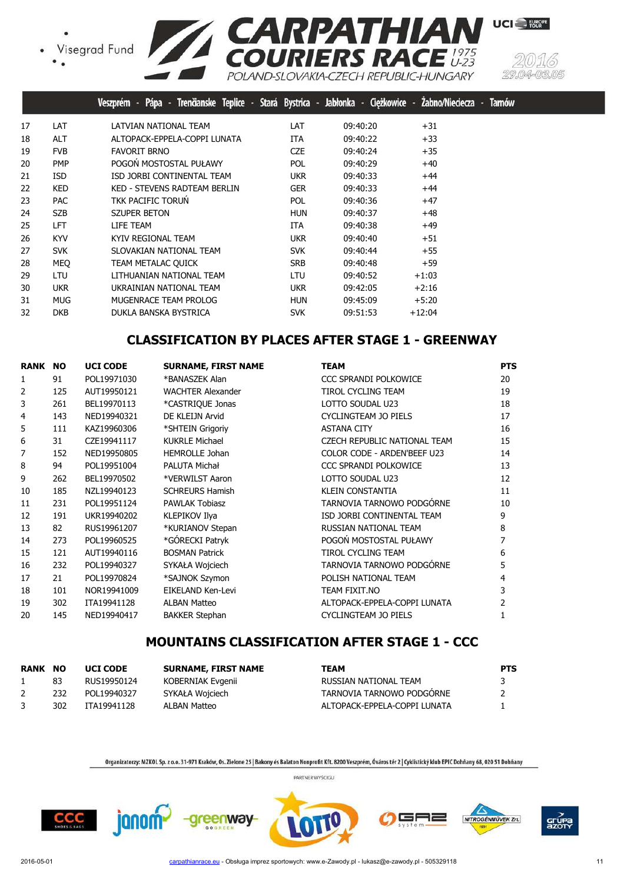![](_page_10_Picture_1.jpeg)

![](_page_10_Picture_2.jpeg)

UCI<sup>-</sup>FURPE

|    |            | Pápa - Trenčianske Teplice - Stará Bystrica - Jabłonka - Ciężkowic <u>e - Żabno/Nieciecza -</u><br>Veszprém - |            |          |          | <b>Tarnów</b> |
|----|------------|---------------------------------------------------------------------------------------------------------------|------------|----------|----------|---------------|
| 17 | LAT        | LATVIAN NATIONAL TEAM                                                                                         | LAT        | 09:40:20 | $+31$    |               |
| 18 | <b>ALT</b> | ALTOPACK-EPPELA-COPPI LUNATA                                                                                  | ITA.       | 09:40:22 | $+33$    |               |
| 19 | <b>FVB</b> | <b>FAVORIT BRNO</b>                                                                                           | <b>CZE</b> | 09:40:24 | $+35$    |               |
| 20 | <b>PMP</b> | POGOŃ MOSTOSTAL PUŁAWY                                                                                        | <b>POL</b> | 09:40:29 | $+40$    |               |
| 21 | <b>ISD</b> | ISD JORBI CONTINENTAL TEAM                                                                                    | ukr.       | 09:40:33 | $+44$    |               |
| 22 | <b>KED</b> | KED - STEVENS RADTEAM BERLIN                                                                                  | <b>GER</b> | 09:40:33 | $+44$    |               |
| 23 | <b>PAC</b> | TKK PACIFIC TORUN                                                                                             | <b>POL</b> | 09:40:36 | $+47$    |               |
| 24 | <b>SZB</b> | <b>SZUPER BETON</b>                                                                                           | <b>HUN</b> | 09:40:37 | $+48$    |               |
| 25 | <b>LFT</b> | LIFE TEAM                                                                                                     | ITA        | 09:40:38 | $+49$    |               |
| 26 | <b>KYV</b> | KYIV REGIONAL TEAM                                                                                            | <b>UKR</b> | 09:40:40 | $+51$    |               |
| 27 | <b>SVK</b> | SLOVAKIAN NATIONAL TEAM                                                                                       | <b>SVK</b> | 09:40:44 | $+55$    |               |
| 28 | <b>MEO</b> | TEAM METALAC QUICK                                                                                            | SRB        | 09:40:48 | $+59$    |               |
| 29 | <b>LTU</b> | LITHUANIAN NATIONAL TEAM                                                                                      | LTU        | 09:40:52 | $+1:03$  |               |
| 30 | <b>UKR</b> | UKRAINIAN NATIONAL TEAM                                                                                       | ukr.       | 09:42:05 | $+2:16$  |               |
| 31 | <b>MUG</b> | MUGENRACE TEAM PROLOG                                                                                         | <b>HUN</b> | 09:45:09 | $+5:20$  |               |
| 32 | <b>DKB</b> | DUKLA BANSKA BYSTRICA                                                                                         | <b>SVK</b> | 09:51:53 | $+12:04$ |               |

# **CLASSIFICATION BY PLACES AFTER STAGE 1 - GREENWAY**

| <b>RANK</b> | <b>NO</b> | <b>UCI CODE</b> | <b>SURNAME, FIRST NAME</b> | <b>TEAM</b>                  | <b>PTS</b> |
|-------------|-----------|-----------------|----------------------------|------------------------------|------------|
| 1           | 91        | POL19971030     | *BANASZEK Alan             | CCC SPRANDI POLKOWICE        | 20         |
| 2           | 125       | AUT19950121     | <b>WACHTER Alexander</b>   | <b>TIROL CYCLING TEAM</b>    | 19         |
| 3           | 261       | BEL19970113     | *CASTRIQUE Jonas           | LOTTO SOUDAL U23             | 18         |
| 4           | 143       | NED19940321     | DE KLEIJN Arvid            | CYCLINGTEAM JO PIELS         | 17         |
| 5           | 111       | KAZ19960306     | *SHTEIN Grigoriy           | <b>ASTANA CITY</b>           | 16         |
| 6           | 31        | CZE19941117     | <b>KUKRLE Michael</b>      | CZECH REPUBLIC NATIONAL TEAM | 15         |
| 7           | 152       | NED19950805     | <b>HEMROLLE Johan</b>      | COLOR CODE - ARDEN'BEEF U23  | 14         |
| 8           | 94        | POL19951004     | PALUTA Michał              | CCC SPRANDI POLKOWICE        | 13         |
| 9           | 262       | BEL19970502     | *VERWILST Aaron            | LOTTO SOUDAL U23             | 12         |
| 10          | 185       | NZL19940123     | <b>SCHREURS Hamish</b>     | <b>KLEIN CONSTANTIA</b>      | 11         |
| 11          | 231       | POL19951124     | <b>PAWLAK Tobiasz</b>      | TARNOVIA TARNOWO PODGÓRNE    | 10         |
| 12          | 191       | UKR19940202     | KLEPIKOV Ilya              | ISD JORBI CONTINENTAL TEAM   | 9          |
| 13          | 82        | RUS19961207     | *KURIANOV Stepan           | RUSSIAN NATIONAL TEAM        | 8          |
| 14          | 273       | POL19960525     | *GÓRECKI Patryk            | POGOŃ MOSTOSTAL PUŁAWY       |            |
| 15          | 121       | AUT19940116     | <b>BOSMAN Patrick</b>      | <b>TIROL CYCLING TEAM</b>    | 6          |
| 16          | 232       | POL19940327     | SYKAŁA Wojciech            | TARNOVIA TARNOWO PODGÓRNE    | 5          |
| 17          | 21        | POL19970824     | *SAJNOK Szymon             | POLISH NATIONAL TEAM         | 4          |
| 18          | 101       | NOR19941009     | EIKELAND Ken-Levi          | TEAM FIXIT.NO                | 3          |
| 19          | 302       | ITA19941128     | <b>ALBAN Matteo</b>        | ALTOPACK-EPPELA-COPPI LUNATA |            |
| 20          | 145       | NED19940417     | <b>BAKKER Stephan</b>      | <b>CYCLINGTEAM JO PIELS</b>  |            |
|             |           |                 |                            |                              |            |

## **MOUNTAINS CLASSIFICATION AFTER STAGE 1 - CCC**

| <b>RANK</b> | <b>NO</b> | <b>UCI CODE</b> | <b>SURNAME, FIRST NAME</b> | TEAM                         | <b>PTS</b>   |
|-------------|-----------|-----------------|----------------------------|------------------------------|--------------|
|             | 83        | RUS19950124     | KOBERNIAK Evgenii          | RUSSIAN NATIONAL TEAM        | 3            |
|             | 232       | POL19940327     | SYKAŁA Wojciech            | TARNOVIA TARNOWO PODGÓRNE    | <sup>2</sup> |
|             | 302       | ITA19941128     | ALBAN Matteo               | ALTOPACK-EPPELA-COPPI LUNATA |              |

Organizatorzy: MZKOL Sp. z o.o. 31-971 Kraków, Os. Zielone 25 | Bakony és Balaton Nonprofit Kft. 8200 Veszprém, Óváros tér 2 | Cyklistický klub EPIC Dohňany 68, 020 51 Dohňany

PARTNER WYŚCIGU

![](_page_10_Picture_10.jpeg)

janom<sup>2</sup>

-greenway-

![](_page_10_Picture_11.jpeg)

![](_page_10_Picture_12.jpeg)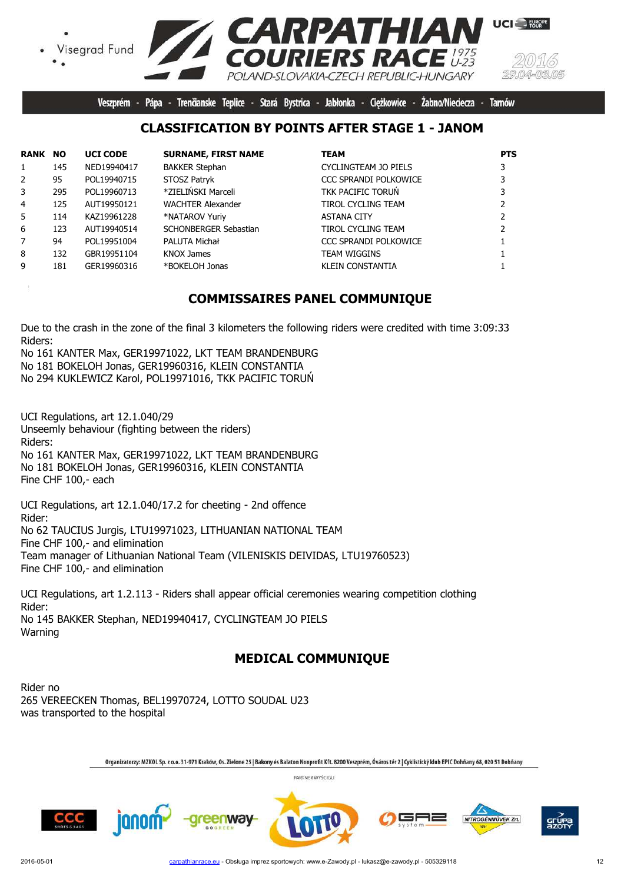![](_page_11_Picture_0.jpeg)

Veszprém - Pápa - Trenčianske Teplice - Stará Bystrica - Jabłonka - Cieżkowice -Żabno/Nieciecza -Tarnów

#### **CLASSIFICATION BY POINTS AFTER STAGE 1 - JANOM**

| <b>RANK NO</b> |     | <b>UCI CODE</b> | <b>SURNAME, FIRST NAME</b> | <b>TEAM</b>                  | <b>PTS</b> |
|----------------|-----|-----------------|----------------------------|------------------------------|------------|
| $\mathbf{1}$   | 145 | NED19940417     | <b>BAKKER Stephan</b>      | CYCLINGTEAM JO PIELS         |            |
| $\overline{2}$ | 95  | POL19940715     | STOSZ Patryk               | <b>CCC SPRANDI POLKOWICE</b> |            |
| 3              | 295 | POL19960713     | *ZIELIŃSKI Marceli         | TKK PACIFIC TORUN            |            |
| 4              | 125 | AUT19950121     | <b>WACHTER Alexander</b>   | TIROL CYCLING TEAM           |            |
| 5.             | 114 | KAZ19961228     | *NATAROV Yuriy             | <b>ASTANA CITY</b>           |            |
| 6              | 123 | AUT19940514     | SCHONBERGER Sebastian      | <b>TIROL CYCLING TEAM</b>    |            |
| 7              | 94  | POL19951004     | PALUTA Michał              | <b>CCC SPRANDI POLKOWICE</b> |            |
| 8              | 132 | GBR19951104     | KNOX James                 | <b>TEAM WIGGINS</b>          |            |
| 9              | 181 | GER19960316     | *BOKELOH Jonas             | <b>KLEIN CONSTANTIA</b>      |            |

#### **COMMISSAIRES PANEL COMMUNIQUE**

Due to the crash in the zone of the final 3 kilometers the following riders were credited with time 3:09:33 Riders:

No 161 KANTER Max, GER19971022, LKT TEAM BRANDENBURG No 181 BOKELOH Jonas, GER19960316, KLEIN CONSTANTIA No 294 KUKLEWICZ Karol, POL19971016, TKK PACIFIC TORUŃ

UCI Regulations, art 12.1.040/29 Unseemly behaviour (fighting between the riders) Riders: No 161 KANTER Max, GER19971022, LKT TEAM BRANDENBURG No 181 BOKELOH Jonas, GER19960316, KLEIN CONSTANTIA Fine CHF 100,- each

UCI Regulations, art 12.1.040/17.2 for cheeting - 2nd offence Rider: No 62 TAUCIUS Jurgis, LTU19971023, LITHUANIAN NATIONAL TEAM Fine CHF 100,- and elimination Team manager of Lithuanian National Team (VILENISKIS DEIVIDAS, LTU19760523) Fine CHF 100,- and elimination

UCI Regulations, art 1.2.113 - Riders shall appear official ceremonies wearing competition clothing Rider: No 145 BAKKER Stephan, NED19940417, CYCLINGTEAM JO PIELS Warning

### **MEDICAL COMMUNIQUE**

Rider no 265 VEREECKEN Thomas, BEL19970724, LOTTO SOUDAL U23 was transported to the hospital

Organizatorzy: MZKOL Sp. z o.o. 31-971 Kraków, Os. Zielone 25 | Bakony és Balaton Nonprofit Kft. 8200 Veszprém, Óváros tér 2 | Cyklistický klub EPIC Dohňany 68, 020 51 Dohňany

![](_page_11_Picture_14.jpeg)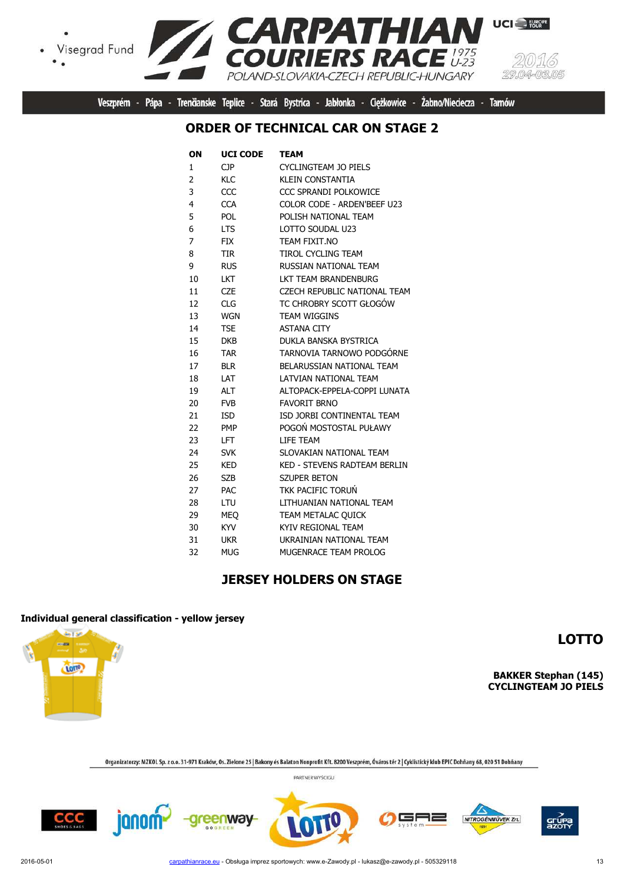![](_page_12_Picture_1.jpeg)

![](_page_12_Picture_2.jpeg)

Veszprém - Pápa - Trenčianske Teplice - Stará Bystrica - Jabłonka - Ciężkowice - Żabno/Nieciecza - Tarnów

#### **ORDER OF TECHNICAL CAR ON STAGE 2**

| ON | <b>UCI CODE</b> | TEAM                                |
|----|-----------------|-------------------------------------|
| 1  | <b>CJP</b>      | <b>CYCLINGTEAM JO PIELS</b>         |
| 2  | <b>KLC</b>      | <b>KLEIN CONSTANTIA</b>             |
| 3  | CCC             | CCC SPRANDI POLKOWICE               |
| 4  | <b>CCA</b>      | COLOR CODE - ARDEN'BEEF U23         |
| 5  | <b>POL</b>      | POLISH NATIONAL TEAM                |
| 6  | <b>LTS</b>      | LOTTO SOUDAL U23                    |
| 7  | <b>FIX</b>      | TEAM FIXIT.NO                       |
| 8  | TIR             | TIROL CYCLING TEAM                  |
| 9  | <b>RUS</b>      | RUSSIAN NATIONAL TEAM               |
| 10 | <b>LKT</b>      | LKT TEAM BRANDENBURG                |
| 11 | <b>CZE</b>      | CZECH REPUBLIC NATIONAL TEAM        |
| 12 | <b>CLG</b>      | TC CHROBRY SCOTT GŁOGÓW             |
| 13 | <b>WGN</b>      | <b>TEAM WIGGINS</b>                 |
| 14 | <b>TSE</b>      | <b>ASTANA CITY</b>                  |
| 15 | DKB.            | DUKLA BANSKA BYSTRICA               |
| 16 | <b>TAR</b>      | TARNOVIA TARNOWO PODGÓRNE           |
| 17 | <b>BLR</b>      | BELARUSSIAN NATIONAL TEAM           |
| 18 | I AT            | LATVIAN NATIONAL TEAM               |
| 19 | <b>ALT</b>      | ALTOPACK-EPPELA-COPPI LUNATA        |
| 20 | <b>FVB</b>      | <b>FAVORIT BRNO</b>                 |
| 21 | <b>ISD</b>      | ISD JORBI CONTINENTAL TEAM          |
| 22 | <b>PMP</b>      | POGOŃ MOSTOSTAL PUŁAWY              |
| 23 | LFT.            | <b>I TFF TFAM</b>                   |
| 24 | <b>SVK</b>      | SLOVAKIAN NATIONAL TEAM             |
| 25 | <b>KED</b>      | <b>KED - STEVENS RADTEAM BERLIN</b> |
| 26 | <b>SZB</b>      | <b>SZUPER BETON</b>                 |
| 27 | PAC             | <b>TKK PACIFIC TORUN</b>            |
| 28 | LTU             | LITHUANIAN NATIONAL TEAM            |
| 29 | <b>MEO</b>      | TEAM METALAC QUICK                  |
| 30 | <b>KYV</b>      | KYIV REGIONAL TEAM                  |
| 31 | <b>UKR</b>      | UKRAINIAN NATIONAL TEAM             |
| 32 | <b>MUG</b>      | MUGENRACE TEAM PROLOG               |

### **JERSEY HOLDERS ON STAGE**

#### **Individual general classification - yellow jersey**

**And MP** ... **TOTP** 

**LOTTO**

**BAKKER Stephan (145) CYCLINGTEAM JO PIELS**

Organizatorzy: MZKOL Sp. z o.o. 31-971 Kraków, Os. Zielone 25 | Bakony és Balaton Nonprofit Kft. 8200 Veszprém, Óváros tér 2 | Cyklistický klub EPIC Dohňany 68, 020 51 Dohňany

![](_page_12_Picture_14.jpeg)

![](_page_12_Picture_16.jpeg)

![](_page_12_Picture_17.jpeg)

![](_page_12_Picture_18.jpeg)

![](_page_12_Picture_19.jpeg)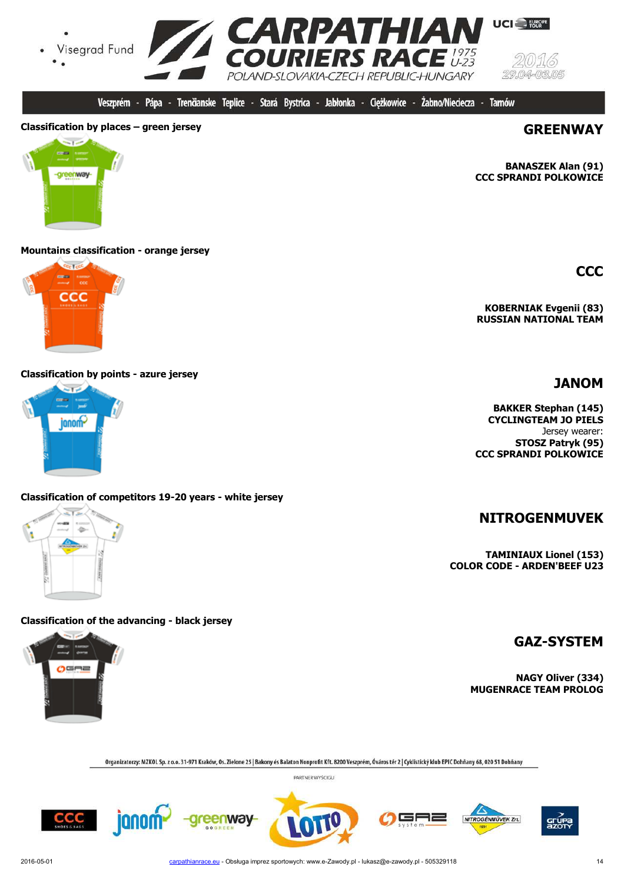![](_page_13_Picture_0.jpeg)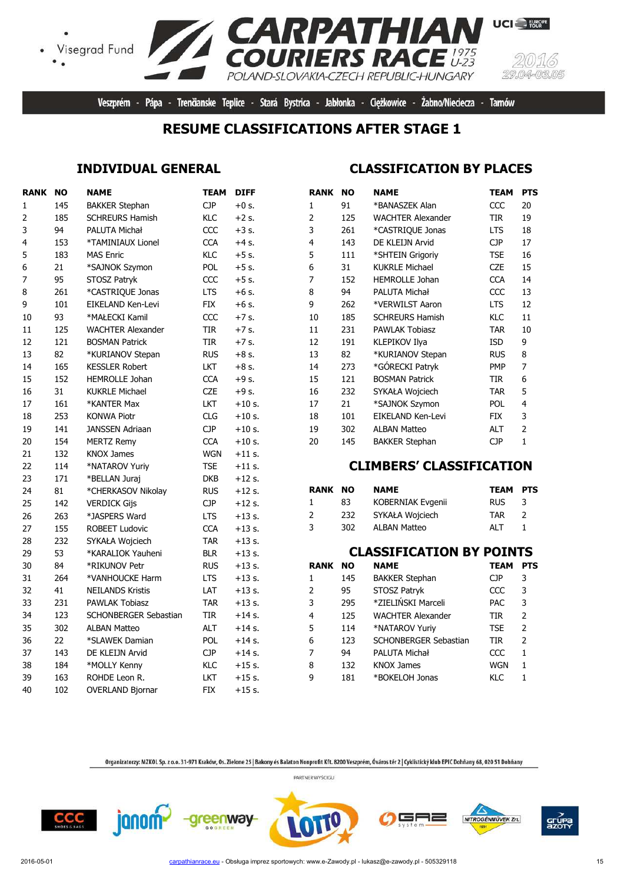![](_page_14_Picture_0.jpeg)

# **EXARPATHIAN**<br>COURIERS RACE **UCI** EUROPE POLAND-SLOVAKIA-CZECH REPUBLIC-HUNGARY

Veszprém - Pápa - Trenčianske Teplice - Stará Bystrica - Jabłonka - Ciężkowice - Żabno/Nieciecza - Tarnów

#### **RESUME CLASSIFICATIONS AFTER STAGE 1**

#### **INDIVIDUAL GENERAL**

### **CLASSIFICATION BY PLACES**

| <b>RANK NO</b> |     | <b>NAME</b>                  | <b>TEAM</b> | <b>DIFF</b> | <b>RANK</b>    | <b>NO</b> | <b>NAME</b>                     | <b>TEAM</b> | <b>PTS</b>     |
|----------------|-----|------------------------------|-------------|-------------|----------------|-----------|---------------------------------|-------------|----------------|
| $\mathbf{1}$   | 145 | <b>BAKKER Stephan</b>        | <b>CJP</b>  | $+0$ s.     | $\mathbf{1}$   | 91        | *BANASZEK Alan                  | CCC         | 20             |
| $\overline{2}$ | 185 | <b>SCHREURS Hamish</b>       | KLC         | $+2$ s.     | $\overline{2}$ | 125       | <b>WACHTER Alexander</b>        | <b>TIR</b>  | 19             |
| 3              | 94  | PALUTA Michał                | CCC         | $+3$ s.     | 3              | 261       | *CASTRIQUE Jonas                | <b>LTS</b>  | 18             |
| 4              | 153 | *TAMINIAUX Lionel            | <b>CCA</b>  | $+4$ s.     | 4              | 143       | DE KLEIJN Arvid                 | <b>CJP</b>  | 17             |
| 5              | 183 | <b>MAS Enric</b>             | KLC         | $+5$ s.     | 5              | 111       | *SHTEIN Grigoriy                | <b>TSE</b>  | 16             |
| 6              | 21  | *SAJNOK Szymon               | <b>POL</b>  | $+5$ s.     | 6              | 31        | <b>KUKRLE Michael</b>           | <b>CZE</b>  | 15             |
| $\overline{7}$ | 95  | STOSZ Patryk                 | CCC         | $+5$ s.     | 7              | 152       | <b>HEMROLLE Johan</b>           | <b>CCA</b>  | 14             |
| 8              | 261 | *CASTRIQUE Jonas             | <b>LTS</b>  | $+6$ s.     | 8              | 94        | PALUTA Michał                   | CCC         | 13             |
| 9              | 101 | EIKELAND Ken-Levi            | <b>FIX</b>  | $+6$ s.     | 9              | 262       | *VERWILST Aaron                 | <b>LTS</b>  | 12             |
| 10             | 93  | *MAŁECKI Kamil               | CCC         | $+7$ s.     | 10             | 185       | <b>SCHREURS Hamish</b>          | KLC         | 11             |
| 11             | 125 | <b>WACHTER Alexander</b>     | <b>TIR</b>  | $+7$ s.     | 11             | 231       | <b>PAWLAK Tobiasz</b>           | <b>TAR</b>  | 10             |
| 12             | 121 | <b>BOSMAN Patrick</b>        | <b>TIR</b>  | $+7$ s.     | 12             | 191       | KLEPIKOV Ilya                   | <b>ISD</b>  | 9              |
| 13             | 82  | *KURIANOV Stepan             | <b>RUS</b>  | $+8$ s.     | 13             | 82        | *KURIANOV Stepan                | <b>RUS</b>  | $\bf 8$        |
| 14             | 165 | <b>KESSLER Robert</b>        | LKT         | $+8$ s.     | 14             | 273       | *GÓRECKI Patryk                 | <b>PMP</b>  | $\overline{7}$ |
| 15             | 152 | HEMROLLE Johan               | <b>CCA</b>  | $+9$ s.     | 15             | 121       | <b>BOSMAN Patrick</b>           | <b>TIR</b>  | 6              |
| 16             | 31  | <b>KUKRLE Michael</b>        | <b>CZE</b>  | $+9$ s.     | 16             | 232       | SYKAŁA Wojciech                 | <b>TAR</b>  | 5              |
| 17             | 161 | *KANTER Max                  | LKT         | $+10$ s.    | 17             | 21        | *SAJNOK Szymon                  | POL         | 4              |
| 18             | 253 | <b>KONWA Piotr</b>           | <b>CLG</b>  | $+10$ s.    | 18             | 101       | EIKELAND Ken-Levi               | <b>FIX</b>  | 3              |
| 19             | 141 | <b>JANSSEN Adriaan</b>       | <b>CJP</b>  | $+10$ s.    | 19             | 302       | <b>ALBAN Matteo</b>             | <b>ALT</b>  | $\overline{2}$ |
| 20             | 154 | <b>MERTZ Remy</b>            | <b>CCA</b>  | $+10$ s.    | 20             | 145       | <b>BAKKER Stephan</b>           | <b>CJP</b>  | $\mathbf{1}$   |
| 21             | 132 | <b>KNOX James</b>            | <b>WGN</b>  | $+11$ s.    |                |           |                                 |             |                |
| 22             | 114 | *NATAROV Yuriy               | <b>TSE</b>  | $+11$ s.    |                |           | <b>CLIMBERS' CLASSIFICATION</b> |             |                |
| 23             | 171 | *BELLAN Juraj                | <b>DKB</b>  | $+12$ s.    |                |           |                                 |             |                |
| 24             | 81  | *CHERKASOV Nikolay           | <b>RUS</b>  | $+12$ s.    | <b>RANK</b>    | <b>NO</b> | <b>NAME</b>                     | TEAM        | <b>PTS</b>     |
| 25             | 142 | <b>VERDICK Gijs</b>          | <b>CJP</b>  | $+12$ s.    | $\mathbf{1}$   | 83        | KOBERNIAK Evgenii               | <b>RUS</b>  | 3              |
| 26             | 263 | *JASPERS Ward                | <b>LTS</b>  | $+13$ s.    | $\overline{2}$ | 232       | SYKAŁA Wojciech                 | <b>TAR</b>  | $\overline{2}$ |
| 27             | 155 | <b>ROBEET Ludovic</b>        | <b>CCA</b>  | $+13$ s.    | 3              | 302       | <b>ALBAN Matteo</b>             | <b>ALT</b>  | $\mathbf{1}$   |
| 28             | 232 | SYKAŁA Wojciech              | <b>TAR</b>  | $+13$ s.    |                |           |                                 |             |                |
| 29             | 53  | *KARALIOK Yauheni            | <b>BLR</b>  | $+13$ s.    |                |           | <b>CLASSIFICATION BY POINTS</b> |             |                |
| 30             | 84  | *RIKUNOV Petr                | <b>RUS</b>  | $+13$ s.    | <b>RANK</b>    | <b>NO</b> | <b>NAME</b>                     | <b>TEAM</b> | <b>PTS</b>     |
| 31             | 264 | *VANHOUCKE Harm              | <b>LTS</b>  | $+13$ s.    | $\mathbf{1}$   | 145       | <b>BAKKER Stephan</b>           | CJP         | 3              |
| 32             | 41  | <b>NEILANDS Kristis</b>      | LAT         | $+13$ s.    | 2              | 95        | STOSZ Patryk                    | CCC         | 3              |
| 33             | 231 | <b>PAWLAK Tobiasz</b>        | <b>TAR</b>  | $+13$ s.    | 3              | 295       | *ZIELIŃSKI Marceli              | <b>PAC</b>  | 3              |
| 34             | 123 | <b>SCHONBERGER Sebastian</b> | TIR         | $+14$ s.    | 4              | 125       | <b>WACHTER Alexander</b>        | TIR         | $\overline{2}$ |
| 35             | 302 | <b>ALBAN Matteo</b>          | <b>ALT</b>  | $+14$ s.    | 5              | 114       | *NATAROV Yuriy                  | <b>TSE</b>  | $\overline{2}$ |
| 36             | 22  | *SLAWEK Damian               | POL         | $+14$ s.    | 6              | 123       | SCHONBERGER Sebastian           | <b>TIR</b>  | $\overline{2}$ |
| 37             | 143 | DE KLEIJN Arvid              | <b>CJP</b>  | $+14$ s.    | 7              | 94        | PALUTA Michał                   | CCC         | $\mathbf{1}$   |
| 38             | 184 | *MOLLY Kenny                 | KLC         | $+15$ s.    | 8              | 132       | <b>KNOX James</b>               | <b>WGN</b>  | $\mathbf{1}$   |
| 39             | 163 | ROHDE Leon R.                | LKT         | $+15$ s.    | 9              | 181       | *BOKELOH Jonas                  | KLC         | $\mathbf{1}$   |
| 40             | 102 | <b>OVERLAND Bjornar</b>      | <b>FIX</b>  | $+15$ s.    |                |           |                                 |             |                |

Organizatorzy: MZKOL Sp. z o.o. 31-971 Kraków, Os. Zielone 25 | Bakony és Balaton Nonprofit Kft. 8200 Veszprém, Óváros tér 2 | Cyklistický klub EPIC Dohňany 68, 020 51 Dohňany PARTNER WYŚCIGU

╕═

NITROGÉNMŰVEK Zrt.

![](_page_14_Picture_9.jpeg)

janom<sup>2</sup>

-greenway-

grúp<br>Azot